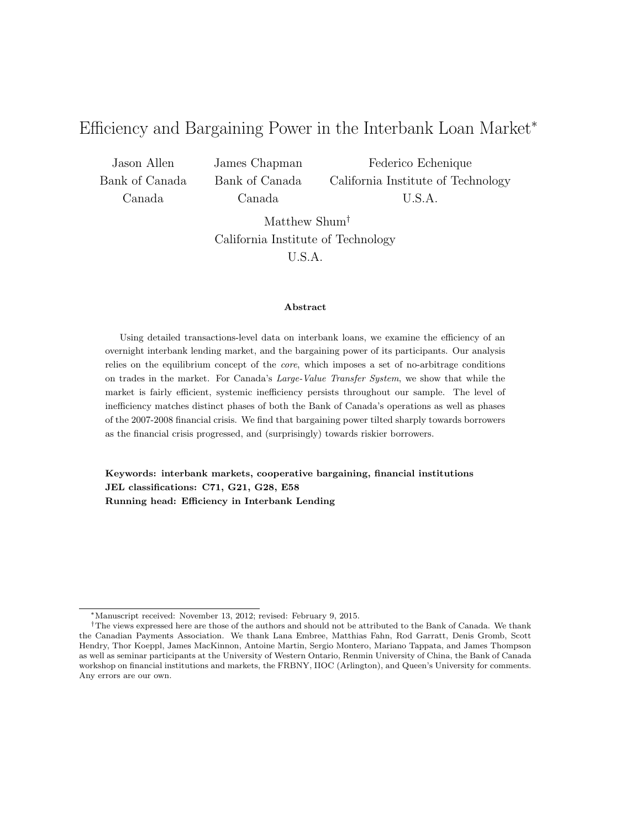# <span id="page-0-0"></span>Efficiency and Bargaining Power in the Interbank Loan Market<sup>∗</sup>

Jason Allen Bank of Canada Canada

James Chapman Bank of Canada Canada

Federico Echenique California Institute of Technology U.S.A.

Matthew Shum† California Institute of Technology U.S.A.

### Abstract

Using detailed transactions-level data on interbank loans, we examine the efficiency of an overnight interbank lending market, and the bargaining power of its participants. Our analysis relies on the equilibrium concept of the core, which imposes a set of no-arbitrage conditions on trades in the market. For Canada's Large-Value Transfer System, we show that while the market is fairly efficient, systemic inefficiency persists throughout our sample. The level of inefficiency matches distinct phases of both the Bank of Canada's operations as well as phases of the 2007-2008 financial crisis. We find that bargaining power tilted sharply towards borrowers as the financial crisis progressed, and (surprisingly) towards riskier borrowers.

Keywords: interbank markets, cooperative bargaining, financial institutions JEL classifications: C71, G21, G28, E58 Running head: Efficiency in Interbank Lending

<sup>∗</sup>Manuscript received: November 13, 2012; revised: February 9, 2015.

<sup>†</sup>The views expressed here are those of the authors and should not be attributed to the Bank of Canada. We thank the Canadian Payments Association. We thank Lana Embree, Matthias Fahn, Rod Garratt, Denis Gromb, Scott Hendry, Thor Koeppl, James MacKinnon, Antoine Martin, Sergio Montero, Mariano Tappata, and James Thompson as well as seminar participants at the University of Western Ontario, Renmin University of China, the Bank of Canada workshop on financial institutions and markets, the FRBNY, IIOC (Arlington), and Queen's University for comments. Any errors are our own.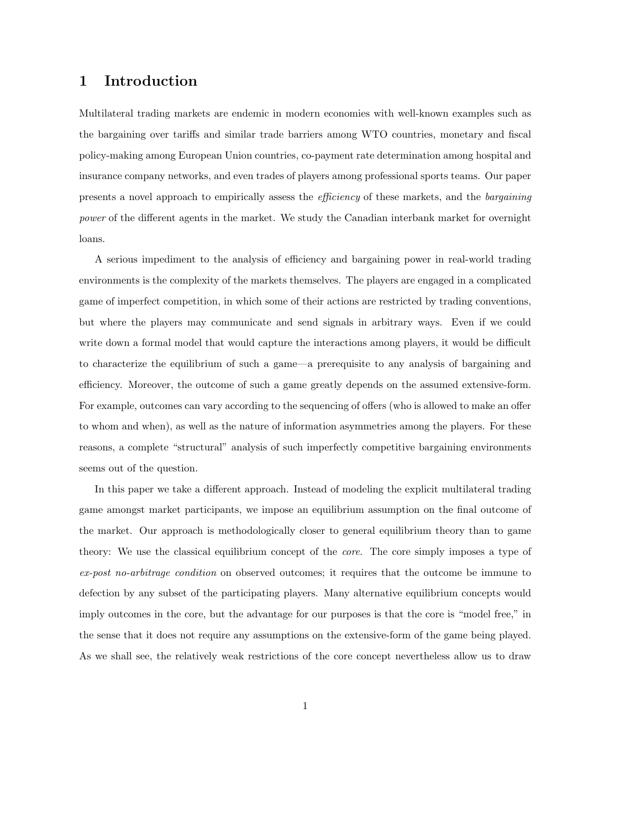# 1 Introduction

Multilateral trading markets are endemic in modern economies with well-known examples such as the bargaining over tariffs and similar trade barriers among WTO countries, monetary and fiscal policy-making among European Union countries, co-payment rate determination among hospital and insurance company networks, and even trades of players among professional sports teams. Our paper presents a novel approach to empirically assess the efficiency of these markets, and the bargaining power of the different agents in the market. We study the Canadian interbank market for overnight loans.

A serious impediment to the analysis of efficiency and bargaining power in real-world trading environments is the complexity of the markets themselves. The players are engaged in a complicated game of imperfect competition, in which some of their actions are restricted by trading conventions, but where the players may communicate and send signals in arbitrary ways. Even if we could write down a formal model that would capture the interactions among players, it would be difficult to characterize the equilibrium of such a game—a prerequisite to any analysis of bargaining and efficiency. Moreover, the outcome of such a game greatly depends on the assumed extensive-form. For example, outcomes can vary according to the sequencing of offers (who is allowed to make an offer to whom and when), as well as the nature of information asymmetries among the players. For these reasons, a complete "structural" analysis of such imperfectly competitive bargaining environments seems out of the question.

In this paper we take a different approach. Instead of modeling the explicit multilateral trading game amongst market participants, we impose an equilibrium assumption on the final outcome of the market. Our approach is methodologically closer to general equilibrium theory than to game theory: We use the classical equilibrium concept of the core. The core simply imposes a type of ex-post no-arbitrage condition on observed outcomes; it requires that the outcome be immune to defection by any subset of the participating players. Many alternative equilibrium concepts would imply outcomes in the core, but the advantage for our purposes is that the core is "model free," in the sense that it does not require any assumptions on the extensive-form of the game being played. As we shall see, the relatively weak restrictions of the core concept nevertheless allow us to draw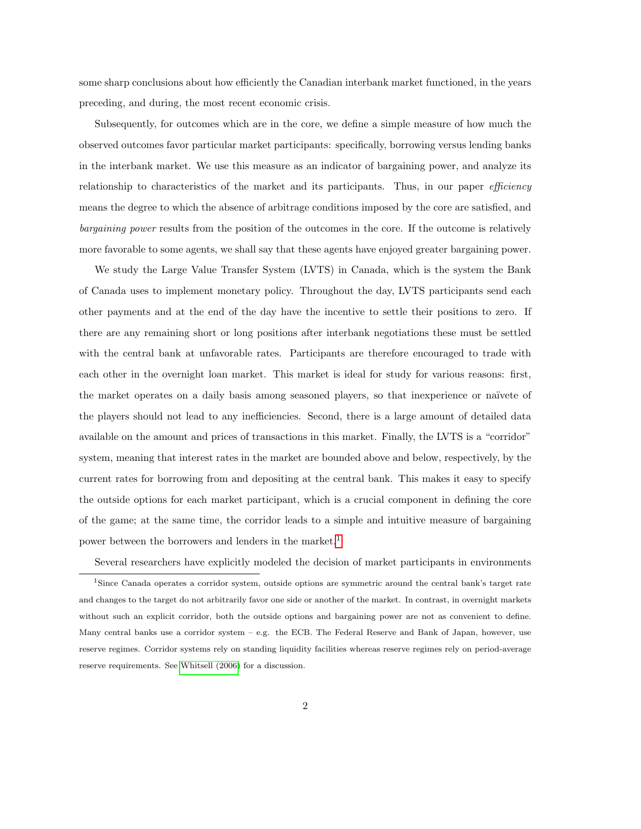some sharp conclusions about how efficiently the Canadian interbank market functioned, in the years preceding, and during, the most recent economic crisis.

Subsequently, for outcomes which are in the core, we define a simple measure of how much the observed outcomes favor particular market participants: specifically, borrowing versus lending banks in the interbank market. We use this measure as an indicator of bargaining power, and analyze its relationship to characteristics of the market and its participants. Thus, in our paper *efficiency* means the degree to which the absence of arbitrage conditions imposed by the core are satisfied, and bargaining power results from the position of the outcomes in the core. If the outcome is relatively more favorable to some agents, we shall say that these agents have enjoyed greater bargaining power.

We study the Large Value Transfer System (LVTS) in Canada, which is the system the Bank of Canada uses to implement monetary policy. Throughout the day, LVTS participants send each other payments and at the end of the day have the incentive to settle their positions to zero. If there are any remaining short or long positions after interbank negotiations these must be settled with the central bank at unfavorable rates. Participants are therefore encouraged to trade with each other in the overnight loan market. This market is ideal for study for various reasons: first, the market operates on a daily basis among seasoned players, so that inexperience or naïvete of the players should not lead to any inefficiencies. Second, there is a large amount of detailed data available on the amount and prices of transactions in this market. Finally, the LVTS is a "corridor" system, meaning that interest rates in the market are bounded above and below, respectively, by the current rates for borrowing from and depositing at the central bank. This makes it easy to specify the outside options for each market participant, which is a crucial component in defining the core of the game; at the same time, the corridor leads to a simple and intuitive measure of bargaining power between the borrowers and lenders in the market.<sup>[1](#page-0-0)</sup>

Several researchers have explicitly modeled the decision of market participants in environments

<sup>1</sup>Since Canada operates a corridor system, outside options are symmetric around the central bank's target rate and changes to the target do not arbitrarily favor one side or another of the market. In contrast, in overnight markets without such an explicit corridor, both the outside options and bargaining power are not as convenient to define. Many central banks use a corridor system – e.g. the ECB. The Federal Reserve and Bank of Japan, however, use reserve regimes. Corridor systems rely on standing liquidity facilities whereas reserve regimes rely on period-average reserve requirements. See [Whitsell \(2006\)](#page-40-0) for a discussion.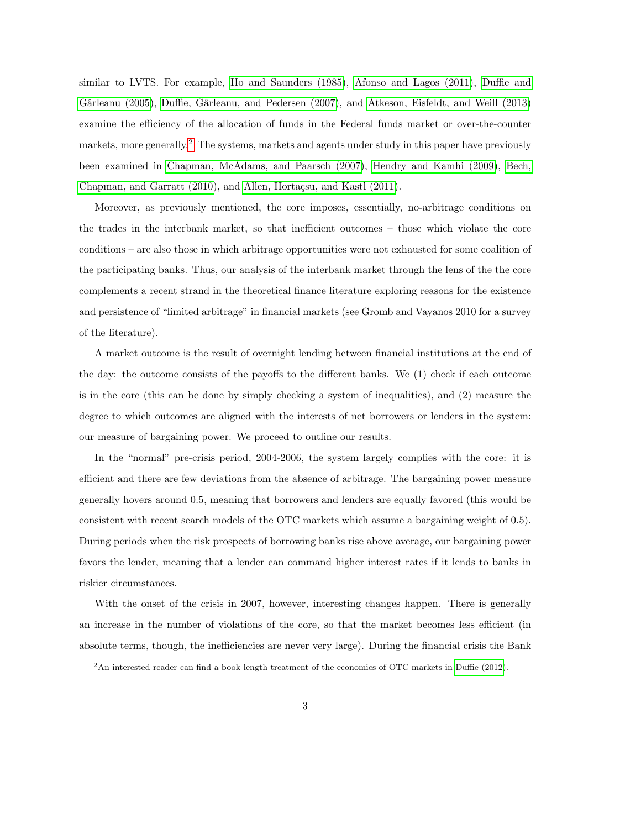similar to LVTS. For example, [Ho and Saunders \(1985\)](#page-39-0), [Afonso and Lagos \(2011\)](#page-38-0), [Duffie and](#page-39-1) Gârleanu (2005), Duffie, Gârleanu, and Pedersen (2007), and [Atkeson, Eisfeldt, and Weill \(2013\)](#page-38-1) examine the efficiency of the allocation of funds in the Federal funds market or over-the-counter markets, more generally.<sup>[2](#page-0-0)</sup> The systems, markets and agents under study in this paper have previously been examined in [Chapman, McAdams, and Paarsch \(2007\)](#page-39-3), [Hendry and Kamhi \(2009\)](#page-39-4), [Bech,](#page-38-2) Chapman, and Garratt  $(2010)$ , and Allen, Hortaçsu, and Kastl  $(2011)$ .

Moreover, as previously mentioned, the core imposes, essentially, no-arbitrage conditions on the trades in the interbank market, so that inefficient outcomes – those which violate the core conditions – are also those in which arbitrage opportunities were not exhausted for some coalition of the participating banks. Thus, our analysis of the interbank market through the lens of the the core complements a recent strand in the theoretical finance literature exploring reasons for the existence and persistence of "limited arbitrage" in financial markets (see Gromb and Vayanos 2010 for a survey of the literature).

A market outcome is the result of overnight lending between financial institutions at the end of the day: the outcome consists of the payoffs to the different banks. We (1) check if each outcome is in the core (this can be done by simply checking a system of inequalities), and (2) measure the degree to which outcomes are aligned with the interests of net borrowers or lenders in the system: our measure of bargaining power. We proceed to outline our results.

In the "normal" pre-crisis period, 2004-2006, the system largely complies with the core: it is efficient and there are few deviations from the absence of arbitrage. The bargaining power measure generally hovers around 0.5, meaning that borrowers and lenders are equally favored (this would be consistent with recent search models of the OTC markets which assume a bargaining weight of 0.5). During periods when the risk prospects of borrowing banks rise above average, our bargaining power favors the lender, meaning that a lender can command higher interest rates if it lends to banks in riskier circumstances.

With the onset of the crisis in 2007, however, interesting changes happen. There is generally an increase in the number of violations of the core, so that the market becomes less efficient (in absolute terms, though, the inefficiencies are never very large). During the financial crisis the Bank

<sup>2</sup>An interested reader can find a book length treatment of the economics of OTC markets in [Duffie \(2012\)](#page-39-5).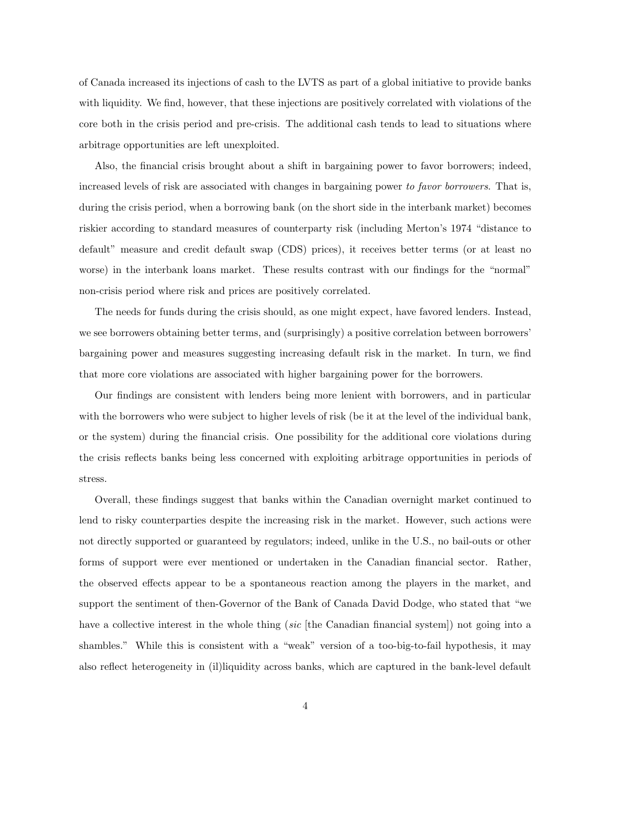of Canada increased its injections of cash to the LVTS as part of a global initiative to provide banks with liquidity. We find, however, that these injections are positively correlated with violations of the core both in the crisis period and pre-crisis. The additional cash tends to lead to situations where arbitrage opportunities are left unexploited.

Also, the financial crisis brought about a shift in bargaining power to favor borrowers; indeed, increased levels of risk are associated with changes in bargaining power to favor borrowers. That is, during the crisis period, when a borrowing bank (on the short side in the interbank market) becomes riskier according to standard measures of counterparty risk (including Merton's 1974 "distance to default" measure and credit default swap (CDS) prices), it receives better terms (or at least no worse) in the interbank loans market. These results contrast with our findings for the "normal" non-crisis period where risk and prices are positively correlated.

The needs for funds during the crisis should, as one might expect, have favored lenders. Instead, we see borrowers obtaining better terms, and (surprisingly) a positive correlation between borrowers' bargaining power and measures suggesting increasing default risk in the market. In turn, we find that more core violations are associated with higher bargaining power for the borrowers.

Our findings are consistent with lenders being more lenient with borrowers, and in particular with the borrowers who were subject to higher levels of risk (be it at the level of the individual bank, or the system) during the financial crisis. One possibility for the additional core violations during the crisis reflects banks being less concerned with exploiting arbitrage opportunities in periods of stress.

Overall, these findings suggest that banks within the Canadian overnight market continued to lend to risky counterparties despite the increasing risk in the market. However, such actions were not directly supported or guaranteed by regulators; indeed, unlike in the U.S., no bail-outs or other forms of support were ever mentioned or undertaken in the Canadian financial sector. Rather, the observed effects appear to be a spontaneous reaction among the players in the market, and support the sentiment of then-Governor of the Bank of Canada David Dodge, who stated that "we have a collective interest in the whole thing *(sic [the Canadian financial system])* not going into a shambles." While this is consistent with a "weak" version of a too-big-to-fail hypothesis, it may also reflect heterogeneity in (il)liquidity across banks, which are captured in the bank-level default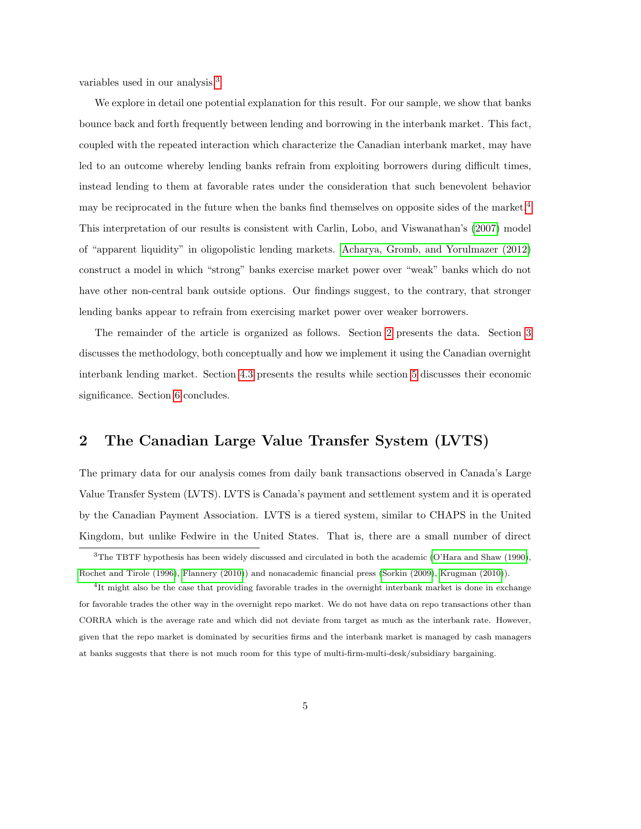variables used in our analysis.[3](#page-0-0)

We explore in detail one potential explanation for this result. For our sample, we show that banks bounce back and forth frequently between lending and borrowing in the interbank market. This fact, coupled with the repeated interaction which characterize the Canadian interbank market, may have led to an outcome whereby lending banks refrain from exploiting borrowers during difficult times, instead lending to them at favorable rates under the consideration that such benevolent behavior may be reciprocated in the future when the banks find themselves on opposite sides of the market.[4](#page-0-0) This interpretation of our results is consistent with Carlin, Lobo, and Viswanathan's [\(2007\)](#page-39-6) model of "apparent liquidity" in oligopolistic lending markets. [Acharya, Gromb, and Yorulmazer \(2012\)](#page-38-4) construct a model in which "strong" banks exercise market power over "weak" banks which do not have other non-central bank outside options. Our findings suggest, to the contrary, that stronger lending banks appear to refrain from exercising market power over weaker borrowers.

The remainder of the article is organized as follows. Section [2](#page-5-0) presents the data. Section [3](#page-12-0) discusses the methodology, both conceptually and how we implement it using the Canadian overnight interbank lending market. Section [4.3](#page-24-0) presents the results while section [5](#page-33-0) discusses their economic significance. Section [6](#page-36-0) concludes.

# <span id="page-5-0"></span>2 The Canadian Large Value Transfer System (LVTS)

The primary data for our analysis comes from daily bank transactions observed in Canada's Large Value Transfer System (LVTS). LVTS is Canada's payment and settlement system and it is operated by the Canadian Payment Association. LVTS is a tiered system, similar to CHAPS in the United Kingdom, but unlike Fedwire in the United States. That is, there are a small number of direct

<sup>3</sup>The TBTF hypothesis has been widely discussed and circulated in both the academic [\(O'Hara and Shaw \(1990\)](#page-40-1), [Rochet and Tirole \(1996\)](#page-40-2), [Flannery \(2010\)](#page-39-7)) and nonacademic financial press [\(Sorkin \(2009\)](#page-40-3), [Krugman \(2010\)](#page-39-8)).

<sup>&</sup>lt;sup>4</sup>It might also be the case that providing favorable trades in the overnight interbank market is done in exchange for favorable trades the other way in the overnight repo market. We do not have data on repo transactions other than CORRA which is the average rate and which did not deviate from target as much as the interbank rate. However, given that the repo market is dominated by securities firms and the interbank market is managed by cash managers at banks suggests that there is not much room for this type of multi-firm-multi-desk/subsidiary bargaining.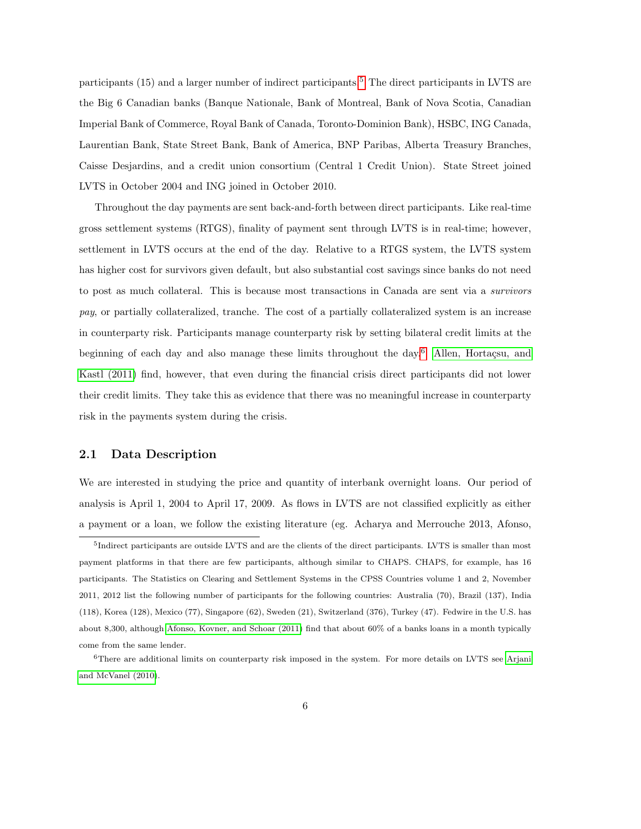participants (15) and a larger number of indirect participants.[5](#page-0-0) The direct participants in LVTS are the Big 6 Canadian banks (Banque Nationale, Bank of Montreal, Bank of Nova Scotia, Canadian Imperial Bank of Commerce, Royal Bank of Canada, Toronto-Dominion Bank), HSBC, ING Canada, Laurentian Bank, State Street Bank, Bank of America, BNP Paribas, Alberta Treasury Branches, Caisse Desjardins, and a credit union consortium (Central 1 Credit Union). State Street joined LVTS in October 2004 and ING joined in October 2010.

Throughout the day payments are sent back-and-forth between direct participants. Like real-time gross settlement systems (RTGS), finality of payment sent through LVTS is in real-time; however, settlement in LVTS occurs at the end of the day. Relative to a RTGS system, the LVTS system has higher cost for survivors given default, but also substantial cost savings since banks do not need to post as much collateral. This is because most transactions in Canada are sent via a survivors pay, or partially collateralized, tranche. The cost of a partially collateralized system is an increase in counterparty risk. Participants manage counterparty risk by setting bilateral credit limits at the beginning of each day and also manage these limits throughout the day. $6$  Allen, Hortacsu, and [Kastl \(2011\)](#page-38-3) find, however, that even during the financial crisis direct participants did not lower their credit limits. They take this as evidence that there was no meaningful increase in counterparty risk in the payments system during the crisis.

## 2.1 Data Description

We are interested in studying the price and quantity of interbank overnight loans. Our period of analysis is April 1, 2004 to April 17, 2009. As flows in LVTS are not classified explicitly as either a payment or a loan, we follow the existing literature (eg. Acharya and Merrouche 2013, Afonso,

<sup>&</sup>lt;sup>5</sup>Indirect participants are outside LVTS and are the clients of the direct participants. LVTS is smaller than most payment platforms in that there are few participants, although similar to CHAPS. CHAPS, for example, has 16 participants. The Statistics on Clearing and Settlement Systems in the CPSS Countries volume 1 and 2, November 2011, 2012 list the following number of participants for the following countries: Australia (70), Brazil (137), India (118), Korea (128), Mexico (77), Singapore (62), Sweden (21), Switzerland (376), Turkey (47). Fedwire in the U.S. has about 8,300, although [Afonso, Kovner, and Schoar \(2011\)](#page-38-5) find that about 60% of a banks loans in a month typically come from the same lender.

<sup>6</sup>There are additional limits on counterparty risk imposed in the system. For more details on LVTS see [Arjani](#page-38-6) [and McVanel \(2010\)](#page-38-6).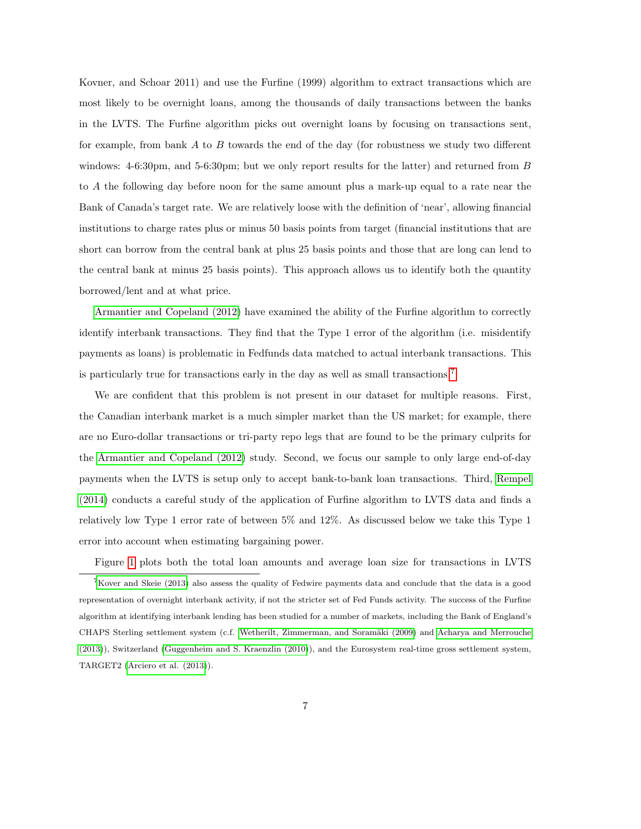Kovner, and Schoar 2011) and use the Furfine (1999) algorithm to extract transactions which are most likely to be overnight loans, among the thousands of daily transactions between the banks in the LVTS. The Furfine algorithm picks out overnight loans by focusing on transactions sent, for example, from bank A to B towards the end of the day (for robustness we study two different windows: 4-6:30pm, and 5-6:30pm; but we only report results for the latter) and returned from B to A the following day before noon for the same amount plus a mark-up equal to a rate near the Bank of Canada's target rate. We are relatively loose with the definition of 'near', allowing financial institutions to charge rates plus or minus 50 basis points from target (financial institutions that are short can borrow from the central bank at plus 25 basis points and those that are long can lend to the central bank at minus 25 basis points). This approach allows us to identify both the quantity borrowed/lent and at what price.

[Armantier and Copeland \(2012\)](#page-38-7) have examined the ability of the Furfine algorithm to correctly identify interbank transactions. They find that the Type 1 error of the algorithm (i.e. misidentify payments as loans) is problematic in Fedfunds data matched to actual interbank transactions. This is particularly true for transactions early in the day as well as small transactions.[7](#page-0-0)

We are confident that this problem is not present in our dataset for multiple reasons. First, the Canadian interbank market is a much simpler market than the US market; for example, there are no Euro-dollar transactions or tri-party repo legs that are found to be the primary culprits for the [Armantier and Copeland \(2012\)](#page-38-7) study. Second, we focus our sample to only large end-of-day payments when the LVTS is setup only to accept bank-to-bank loan transactions. Third, [Rempel](#page-40-4) [\(2014\)](#page-40-4) conducts a careful study of the application of Furfine algorithm to LVTS data and finds a relatively low Type 1 error rate of between 5% and 12%. As discussed below we take this Type 1 error into account when estimating bargaining power.

Figure [1](#page-8-0) plots both the total loan amounts and average loan size for transactions in LVTS

<sup>7</sup>[Kover and Skeie \(2013\)](#page-39-9) also assess the quality of Fedwire payments data and conclude that the data is a good representation of overnight interbank activity, if not the stricter set of Fed Funds activity. The success of the Furfine algorithm at identifying interbank lending has been studied for a number of markets, including the Bank of England's CHAPS Sterling settlement system (c.f. Wetherilt, Zimmerman, and Soramäki (2009) and [Acharya and Merrouche](#page-38-8) [\(2013\)](#page-38-8)), Switzerland [\(Guggenheim and S. Kraenzlin \(2010\)](#page-39-10)), and the Eurosystem real-time gross settlement system, TARGET2 [\(Arciero et al. \(2013\)](#page-38-9)).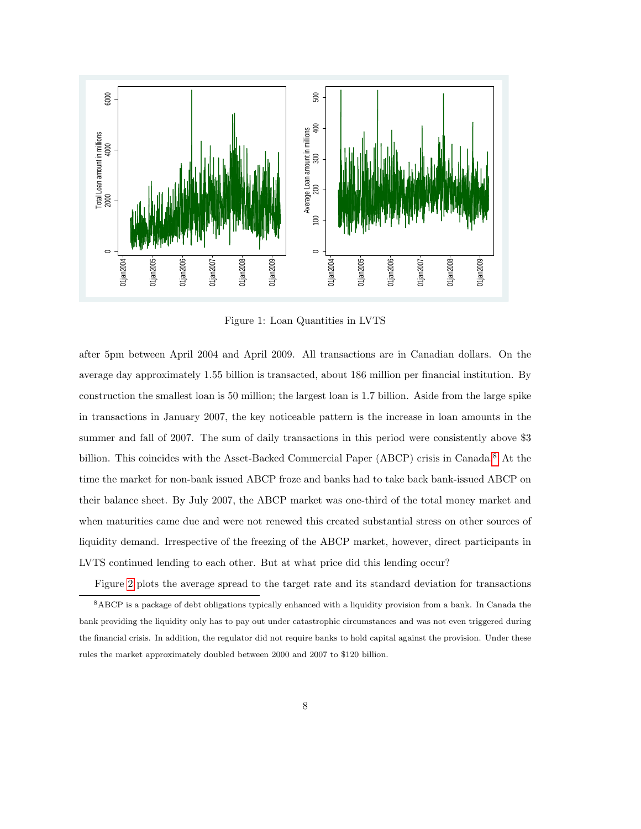

<span id="page-8-0"></span>Figure 1: Loan Quantities in LVTS

after 5pm between April 2004 and April 2009. All transactions are in Canadian dollars. On the average day approximately 1.55 billion is transacted, about 186 million per financial institution. By construction the smallest loan is 50 million; the largest loan is 1.7 billion. Aside from the large spike in transactions in January 2007, the key noticeable pattern is the increase in loan amounts in the summer and fall of 2007. The sum of daily transactions in this period were consistently above \$3 billion. This coincides with the Asset-Backed Commercial Paper (ABCP) crisis in Canada.<sup>[8](#page-0-0)</sup> At the time the market for non-bank issued ABCP froze and banks had to take back bank-issued ABCP on their balance sheet. By July 2007, the ABCP market was one-third of the total money market and when maturities came due and were not renewed this created substantial stress on other sources of liquidity demand. Irrespective of the freezing of the ABCP market, however, direct participants in LVTS continued lending to each other. But at what price did this lending occur?

Figure [2](#page-9-0) plots the average spread to the target rate and its standard deviation for transactions

<sup>8</sup>ABCP is a package of debt obligations typically enhanced with a liquidity provision from a bank. In Canada the bank providing the liquidity only has to pay out under catastrophic circumstances and was not even triggered during the financial crisis. In addition, the regulator did not require banks to hold capital against the provision. Under these rules the market approximately doubled between 2000 and 2007 to \$120 billion.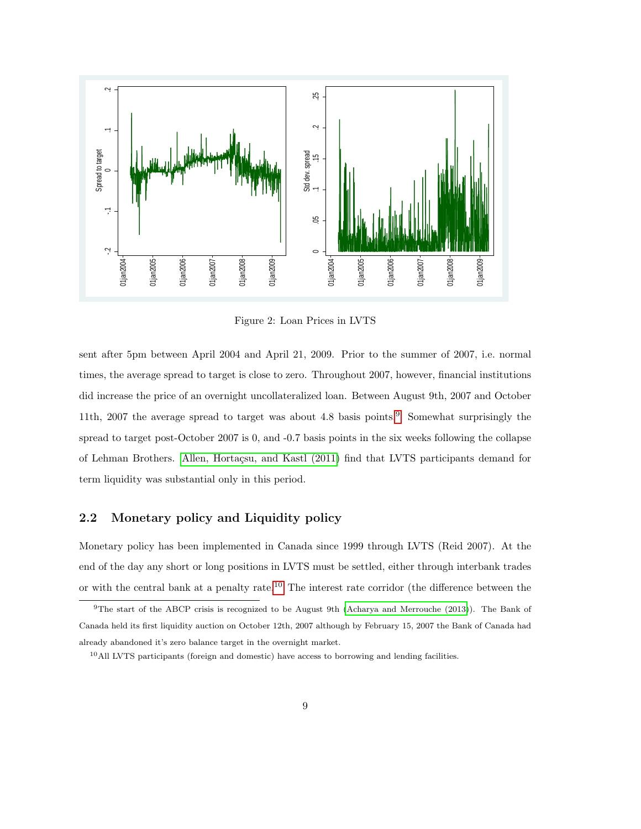

<span id="page-9-0"></span>Figure 2: Loan Prices in LVTS

sent after 5pm between April 2004 and April 21, 2009. Prior to the summer of 2007, i.e. normal times, the average spread to target is close to zero. Throughout 2007, however, financial institutions did increase the price of an overnight uncollateralized loan. Between August 9th, 2007 and October 11th, 2007 the average spread to target was about 4.8 basis points.[9](#page-0-0) Somewhat surprisingly the spread to target post-October 2007 is 0, and -0.7 basis points in the six weeks following the collapse of Lehman Brothers. Allen, Hortaçsu, and Kastl (2011) find that LVTS participants demand for term liquidity was substantial only in this period.

## <span id="page-9-1"></span>2.2 Monetary policy and Liquidity policy

Monetary policy has been implemented in Canada since 1999 through LVTS (Reid 2007). At the end of the day any short or long positions in LVTS must be settled, either through interbank trades or with the central bank at a penalty rate.<sup>[10](#page-0-0)</sup> The interest rate corridor (the difference between the

<sup>&</sup>lt;sup>9</sup>The start of the ABCP crisis is recognized to be August 9th [\(Acharya and Merrouche \(2013\)](#page-38-8)). The Bank of Canada held its first liquidity auction on October 12th, 2007 although by February 15, 2007 the Bank of Canada had already abandoned it's zero balance target in the overnight market.

 $^{10}\mathrm{All}$  LVTS participants (foreign and domestic) have access to borrowing and lending facilities.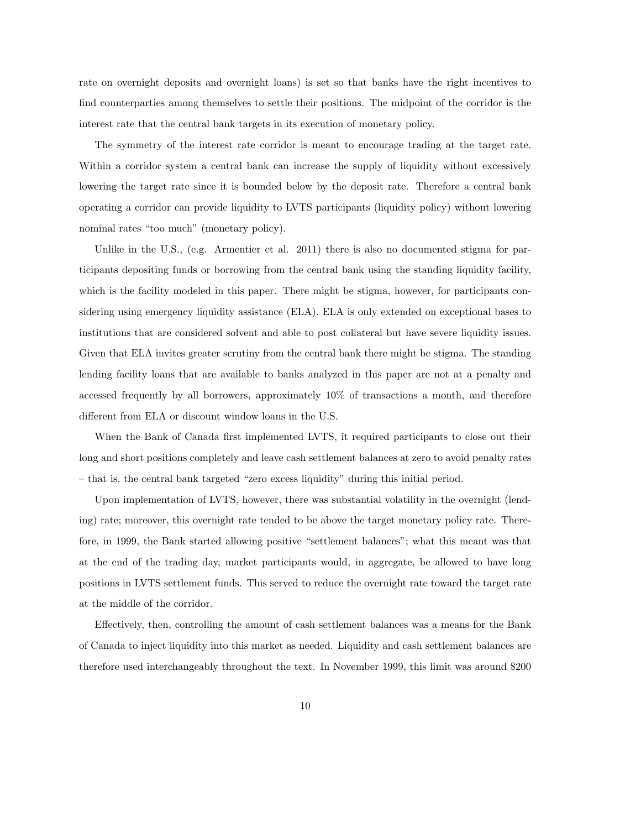rate on overnight deposits and overnight loans) is set so that banks have the right incentives to find counterparties among themselves to settle their positions. The midpoint of the corridor is the interest rate that the central bank targets in its execution of monetary policy.

The symmetry of the interest rate corridor is meant to encourage trading at the target rate. Within a corridor system a central bank can increase the supply of liquidity without excessively lowering the target rate since it is bounded below by the deposit rate. Therefore a central bank operating a corridor can provide liquidity to LVTS participants (liquidity policy) without lowering nominal rates "too much" (monetary policy).

Unlike in the U.S., (e.g. Armentier et al. 2011) there is also no documented stigma for participants depositing funds or borrowing from the central bank using the standing liquidity facility, which is the facility modeled in this paper. There might be stigma, however, for participants considering using emergency liquidity assistance (ELA). ELA is only extended on exceptional bases to institutions that are considered solvent and able to post collateral but have severe liquidity issues. Given that ELA invites greater scrutiny from the central bank there might be stigma. The standing lending facility loans that are available to banks analyzed in this paper are not at a penalty and accessed frequently by all borrowers, approximately 10% of transactions a month, and therefore different from ELA or discount window loans in the U.S.

When the Bank of Canada first implemented LVTS, it required participants to close out their long and short positions completely and leave cash settlement balances at zero to avoid penalty rates – that is, the central bank targeted "zero excess liquidity" during this initial period.

Upon implementation of LVTS, however, there was substantial volatility in the overnight (lending) rate; moreover, this overnight rate tended to be above the target monetary policy rate. Therefore, in 1999, the Bank started allowing positive "settlement balances"; what this meant was that at the end of the trading day, market participants would, in aggregate, be allowed to have long positions in LVTS settlement funds. This served to reduce the overnight rate toward the target rate at the middle of the corridor.

Effectively, then, controlling the amount of cash settlement balances was a means for the Bank of Canada to inject liquidity into this market as needed. Liquidity and cash settlement balances are therefore used interchangeably throughout the text. In November 1999, this limit was around \$200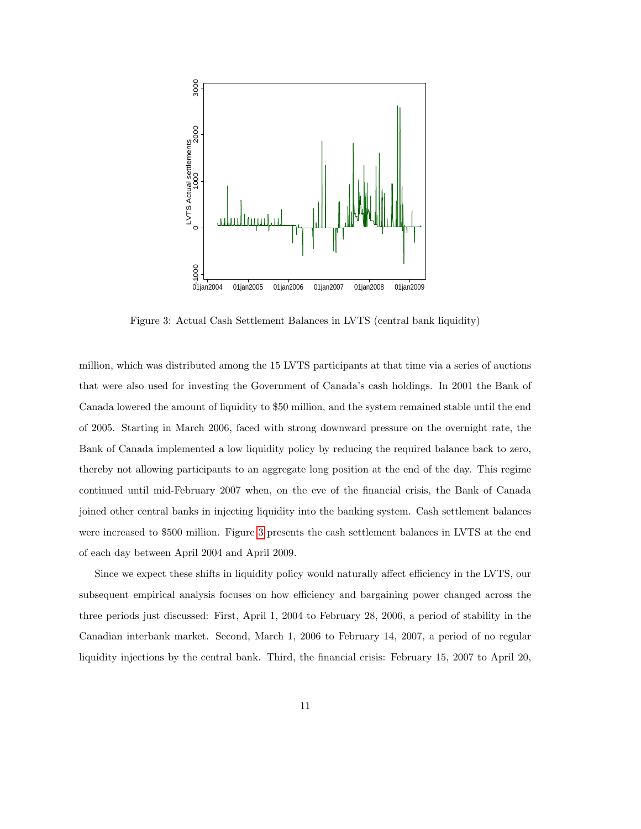

<span id="page-11-0"></span>Figure 3: Actual Cash Settlement Balances in LVTS (central bank liquidity)

million, which was distributed among the 15 LVTS participants at that time via a series of auctions that were also used for investing the Government of Canada's cash holdings. In 2001 the Bank of Canada lowered the amount of liquidity to \$50 million, and the system remained stable until the end of 2005. Starting in March 2006, faced with strong downward pressure on the overnight rate, the Bank of Canada implemented a low liquidity policy by reducing the required balance back to zero, thereby not allowing participants to an aggregate long position at the end of the day. This regime continued until mid-February 2007 when, on the eve of the financial crisis, the Bank of Canada joined other central banks in injecting liquidity into the banking system. Cash settlement balances were increased to \$500 million. Figure [3](#page-11-0) presents the cash settlement balances in LVTS at the end of each day between April 2004 and April 2009.

Since we expect these shifts in liquidity policy would naturally affect efficiency in the LVTS, our subsequent empirical analysis focuses on how efficiency and bargaining power changed across the three periods just discussed: First, April 1, 2004 to February 28, 2006, a period of stability in the Canadian interbank market. Second, March 1, 2006 to February 14, 2007, a period of no regular liquidity injections by the central bank. Third, the financial crisis: February 15, 2007 to April 20,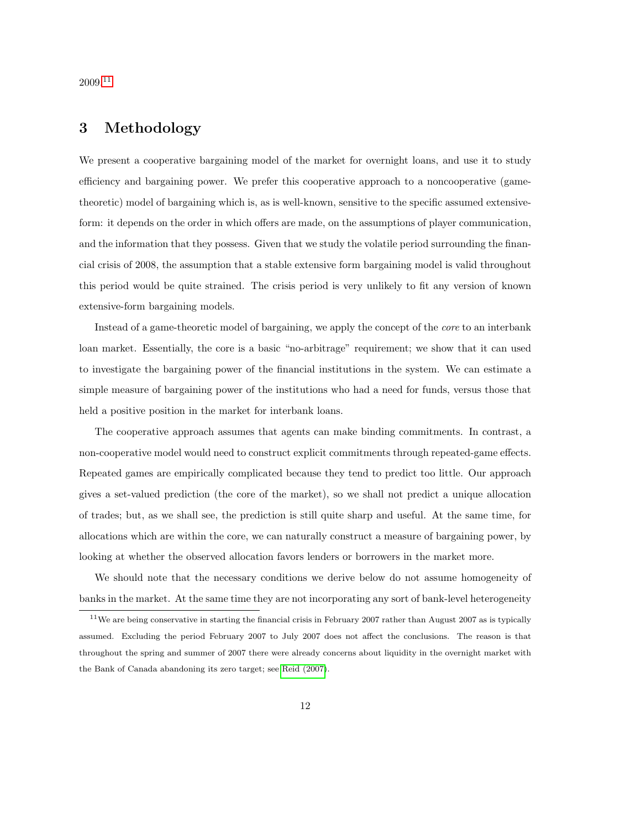2009.[11](#page-0-0)

# <span id="page-12-0"></span>3 Methodology

We present a cooperative bargaining model of the market for overnight loans, and use it to study efficiency and bargaining power. We prefer this cooperative approach to a noncooperative (gametheoretic) model of bargaining which is, as is well-known, sensitive to the specific assumed extensiveform: it depends on the order in which offers are made, on the assumptions of player communication, and the information that they possess. Given that we study the volatile period surrounding the financial crisis of 2008, the assumption that a stable extensive form bargaining model is valid throughout this period would be quite strained. The crisis period is very unlikely to fit any version of known extensive-form bargaining models.

Instead of a game-theoretic model of bargaining, we apply the concept of the core to an interbank loan market. Essentially, the core is a basic "no-arbitrage" requirement; we show that it can used to investigate the bargaining power of the financial institutions in the system. We can estimate a simple measure of bargaining power of the institutions who had a need for funds, versus those that held a positive position in the market for interbank loans.

The cooperative approach assumes that agents can make binding commitments. In contrast, a non-cooperative model would need to construct explicit commitments through repeated-game effects. Repeated games are empirically complicated because they tend to predict too little. Our approach gives a set-valued prediction (the core of the market), so we shall not predict a unique allocation of trades; but, as we shall see, the prediction is still quite sharp and useful. At the same time, for allocations which are within the core, we can naturally construct a measure of bargaining power, by looking at whether the observed allocation favors lenders or borrowers in the market more.

We should note that the necessary conditions we derive below do not assume homogeneity of banks in the market. At the same time they are not incorporating any sort of bank-level heterogeneity

 $11$ We are being conservative in starting the financial crisis in February 2007 rather than August 2007 as is typically assumed. Excluding the period February 2007 to July 2007 does not affect the conclusions. The reason is that throughout the spring and summer of 2007 there were already concerns about liquidity in the overnight market with the Bank of Canada abandoning its zero target; see [Reid \(2007\)](#page-40-6).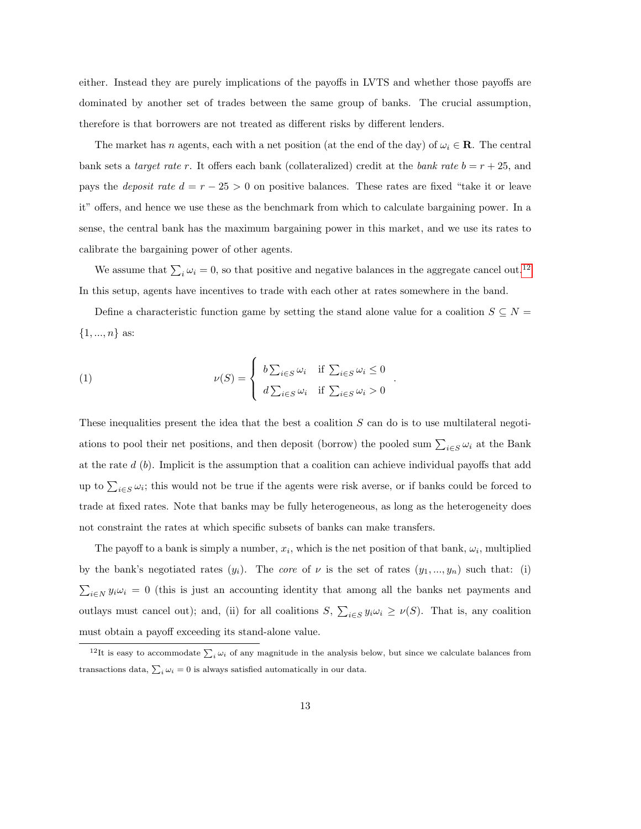either. Instead they are purely implications of the payoffs in LVTS and whether those payoffs are dominated by another set of trades between the same group of banks. The crucial assumption, therefore is that borrowers are not treated as different risks by different lenders.

The market has n agents, each with a net position (at the end of the day) of  $\omega_i \in \mathbf{R}$ . The central bank sets a *target rate r*. It offers each bank (collateralized) credit at the *bank rate*  $b = r + 25$ , and pays the *deposit rate d = r - 25 > 0* on positive balances. These rates are fixed "take it or leave it" offers, and hence we use these as the benchmark from which to calculate bargaining power. In a sense, the central bank has the maximum bargaining power in this market, and we use its rates to calibrate the bargaining power of other agents.

We assume that  $\sum_i \omega_i = 0$ , so that positive and negative balances in the aggregate cancel out.<sup>[12](#page-0-0)</sup> In this setup, agents have incentives to trade with each other at rates somewhere in the band.

Define a characteristic function game by setting the stand alone value for a coalition  $S \subseteq N =$  $\{1, ..., n\}$  as:

.

<span id="page-13-0"></span>(1) 
$$
\nu(S) = \begin{cases} b \sum_{i \in S} \omega_i & \text{if } \sum_{i \in S} \omega_i \le 0 \\ d \sum_{i \in S} \omega_i & \text{if } \sum_{i \in S} \omega_i > 0 \end{cases}
$$

These inequalities present the idea that the best a coalition  $S$  can do is to use multilateral negotiations to pool their net positions, and then deposit (borrow) the pooled sum  $\sum_{i\in S}\omega_i$  at the Bank at the rate  $d(b)$ . Implicit is the assumption that a coalition can achieve individual payoffs that add up to  $\sum_{i\in S}\omega_i$ ; this would not be true if the agents were risk averse, or if banks could be forced to trade at fixed rates. Note that banks may be fully heterogeneous, as long as the heterogeneity does not constraint the rates at which specific subsets of banks can make transfers.

The payoff to a bank is simply a number,  $x_i$ , which is the net position of that bank,  $\omega_i$ , multiplied by the bank's negotiated rates  $(y_i)$ . The *core* of  $\nu$  is the set of rates  $(y_1, ..., y_n)$  such that: (i)  $\sum_{i\in\mathbb{N}}y_i\omega_i=0$  (this is just an accounting identity that among all the banks net payments and outlays must cancel out); and, (ii) for all coalitions  $S$ ,  $\sum_{i\in S} y_i\omega_i \geq \nu(S)$ . That is, any coalition must obtain a payoff exceeding its stand-alone value.

<sup>&</sup>lt;sup>12</sup>It is easy to accommodate  $\sum_i \omega_i$  of any magnitude in the analysis below, but since we calculate balances from transactions data,  $\sum_i \omega_i = 0$  is always satisfied automatically in our data.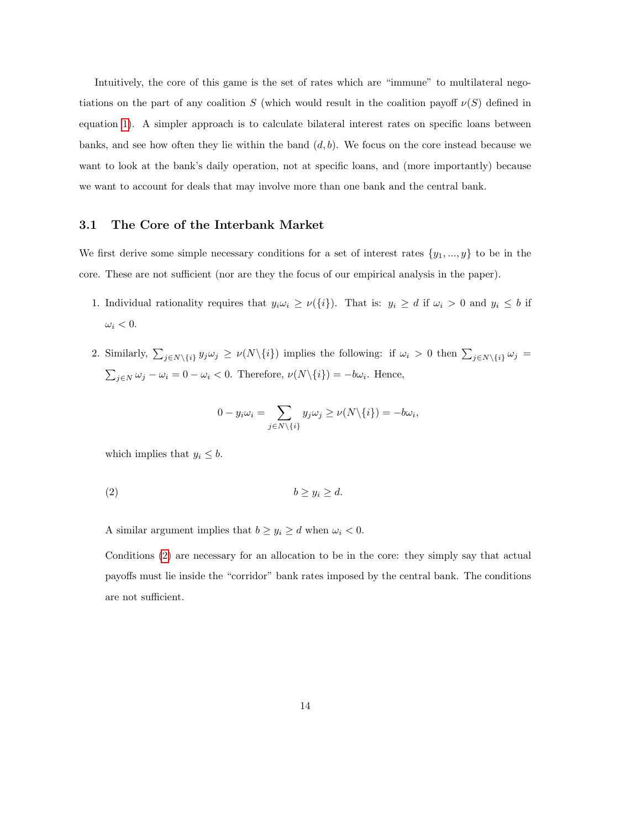Intuitively, the core of this game is the set of rates which are "immune" to multilateral negotiations on the part of any coalition S (which would result in the coalition payoff  $\nu(S)$  defined in equation [1\)](#page-13-0). A simpler approach is to calculate bilateral interest rates on specific loans between banks, and see how often they lie within the band  $(d, b)$ . We focus on the core instead because we want to look at the bank's daily operation, not at specific loans, and (more importantly) because we want to account for deals that may involve more than one bank and the central bank.

## 3.1 The Core of the Interbank Market

We first derive some simple necessary conditions for a set of interest rates  $\{y_1, ..., y\}$  to be in the core. These are not sufficient (nor are they the focus of our empirical analysis in the paper).

- 1. Individual rationality requires that  $y_i \omega_i \ge \nu(\{i\})$ . That is:  $y_i \ge d$  if  $\omega_i > 0$  and  $y_i \le b$  if  $\omega_i < 0.$
- 2. Similarly,  $\sum_{j \in N \setminus \{i\}} y_j \omega_j \ge \nu(N \setminus \{i\})$  implies the following: if  $\omega_i > 0$  then  $\sum_{j \in N \setminus \{i\}} \omega_j =$  $\sum_{j \in N} \omega_j - \omega_i = 0 - \omega_i < 0$ . Therefore,  $\nu(N\{\{i\}) = -b\omega_i$ . Hence,

<span id="page-14-0"></span>
$$
0 - y_i \omega_i = \sum_{j \in N \setminus \{i\}} y_j \omega_j \ge \nu(N \setminus \{i\}) = -b \omega_i,
$$

which implies that  $y_i \leq b$ .

$$
(2) \t\t b \ge y_i \ge d.
$$

A similar argument implies that  $b \ge y_i \ge d$  when  $\omega_i < 0$ .

Conditions [\(2\)](#page-14-0) are necessary for an allocation to be in the core: they simply say that actual payoffs must lie inside the "corridor" bank rates imposed by the central bank. The conditions are not sufficient.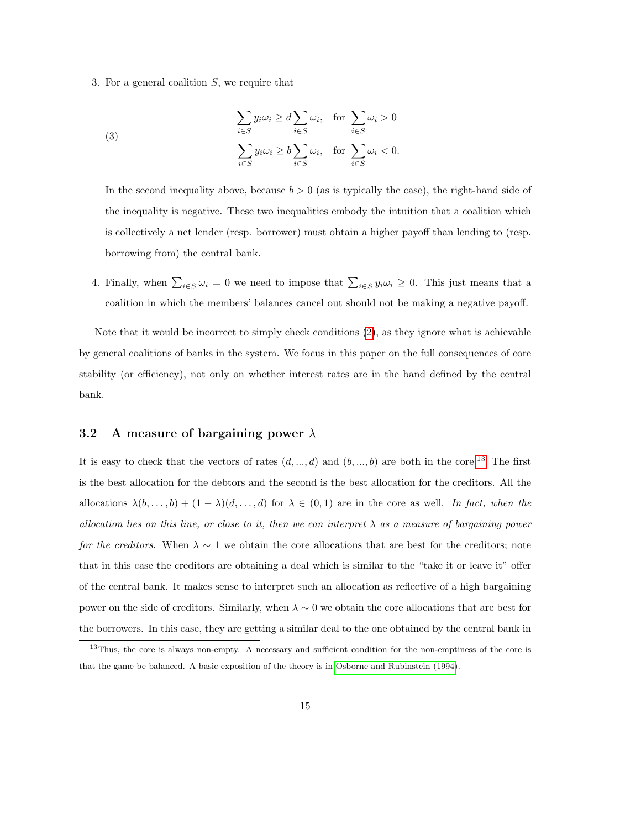3. For a general coalition S, we require that

(3) 
$$
\sum_{i \in S} y_i \omega_i \ge d \sum_{i \in S} \omega_i, \text{ for } \sum_{i \in S} \omega_i > 0
$$

$$
\sum_{i \in S} y_i \omega_i \ge b \sum_{i \in S} \omega_i, \text{ for } \sum_{i \in S} \omega_i < 0.
$$

In the second inequality above, because  $b > 0$  (as is typically the case), the right-hand side of the inequality is negative. These two inequalities embody the intuition that a coalition which is collectively a net lender (resp. borrower) must obtain a higher payoff than lending to (resp. borrowing from) the central bank.

4. Finally, when  $\sum_{i\in S}\omega_i=0$  we need to impose that  $\sum_{i\in S}y_i\omega_i\geq 0$ . This just means that a coalition in which the members' balances cancel out should not be making a negative payoff.

Note that it would be incorrect to simply check conditions [\(2\)](#page-14-0), as they ignore what is achievable by general coalitions of banks in the system. We focus in this paper on the full consequences of core stability (or efficiency), not only on whether interest rates are in the band defined by the central bank.

## 3.2 A measure of bargaining power  $\lambda$

It is easy to check that the vectors of rates  $(d, ..., d)$  and  $(b, ..., b)$  are both in the core.<sup>[13](#page-0-0)</sup> The first is the best allocation for the debtors and the second is the best allocation for the creditors. All the allocations  $\lambda(b,\ldots,b) + (1-\lambda)(d,\ldots,d)$  for  $\lambda \in (0,1)$  are in the core as well. In fact, when the allocation lies on this line, or close to it, then we can interpret  $\lambda$  as a measure of bargaining power for the creditors. When  $\lambda \sim 1$  we obtain the core allocations that are best for the creditors; note that in this case the creditors are obtaining a deal which is similar to the "take it or leave it" offer of the central bank. It makes sense to interpret such an allocation as reflective of a high bargaining power on the side of creditors. Similarly, when  $\lambda \sim 0$  we obtain the core allocations that are best for the borrowers. In this case, they are getting a similar deal to the one obtained by the central bank in

<sup>&</sup>lt;sup>13</sup>Thus, the core is always non-empty. A necessary and sufficient condition for the non-emptiness of the core is that the game be balanced. A basic exposition of the theory is in [Osborne and Rubinstein \(1994\)](#page-40-7).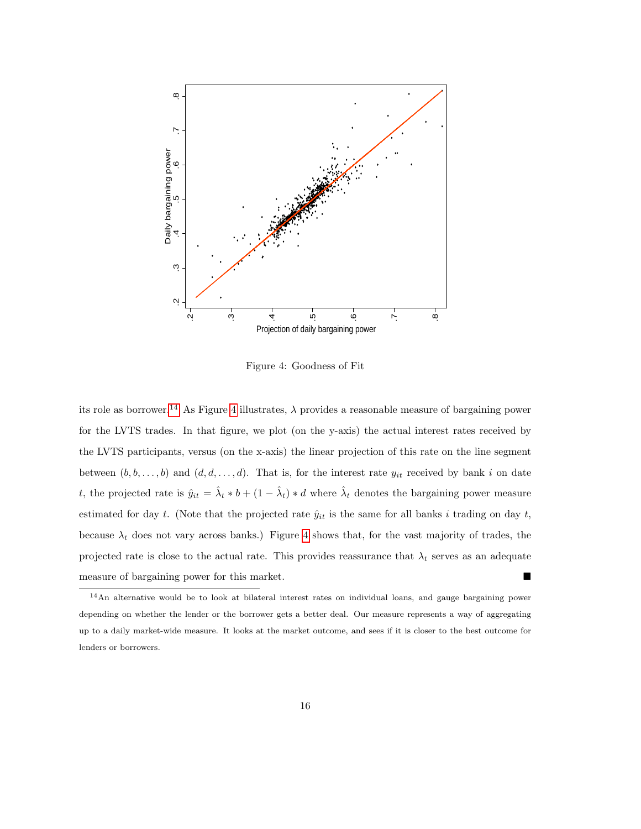

<span id="page-16-0"></span>Figure 4: Goodness of Fit

its role as borrower.<sup>[14](#page-0-0)</sup> As Figure [4](#page-16-0) illustrates,  $\lambda$  provides a reasonable measure of bargaining power for the LVTS trades. In that figure, we plot (on the y-axis) the actual interest rates received by the LVTS participants, versus (on the x-axis) the linear projection of this rate on the line segment between  $(b, b, \ldots, b)$  and  $(d, d, \ldots, d)$ . That is, for the interest rate  $y_{it}$  received by bank i on date t, the projected rate is  $\hat{y}_{it} = \hat{\lambda}_t * b + (1 - \hat{\lambda}_t) * d$  where  $\hat{\lambda}_t$  denotes the bargaining power measure estimated for day t. (Note that the projected rate  $\hat{y}_{it}$  is the same for all banks i trading on day t, because  $\lambda_t$  does not vary across banks.) Figure [4](#page-16-0) shows that, for the vast majority of trades, the projected rate is close to the actual rate. This provides reassurance that  $\lambda_t$  serves as an adequate measure of bargaining power for this market.

<sup>14</sup>An alternative would be to look at bilateral interest rates on individual loans, and gauge bargaining power depending on whether the lender or the borrower gets a better deal. Our measure represents a way of aggregating up to a daily market-wide measure. It looks at the market outcome, and sees if it is closer to the best outcome for lenders or borrowers.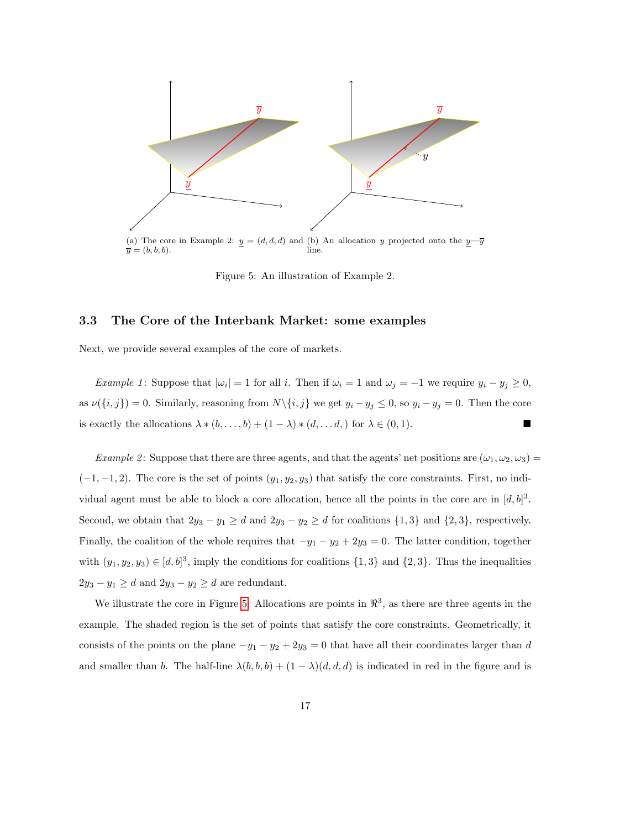

<span id="page-17-1"></span><span id="page-17-0"></span>Figure 5: An illustration of Example 2.

## 3.3 The Core of the Interbank Market: some examples

Next, we provide several examples of the core of markets.

*Example 1*: Suppose that  $|\omega_i| = 1$  for all i. Then if  $\omega_i = 1$  and  $\omega_j = -1$  we require  $y_i - y_j \ge 0$ , as  $\nu(\{i, j\}) = 0$ . Similarly, reasoning from  $N\setminus\{i, j\}$  we get  $y_i - y_j \leq 0$ , so  $y_i - y_j = 0$ . Then the core is exactly the allocations  $\lambda * (b, \ldots, b) + (1 - \lambda) * (d, \ldots, d)$  for  $\lambda \in (0, 1)$ .

*Example 2*: Suppose that there are three agents, and that the agents' net positions are  $(\omega_1, \omega_2, \omega_3)$  $(-1, -1, 2)$ . The core is the set of points  $(y_1, y_2, y_3)$  that satisfy the core constraints. First, no individual agent must be able to block a core allocation, hence all the points in the core are in  $[d, b]^3$ . Second, we obtain that  $2y_3 - y_1 \ge d$  and  $2y_3 - y_2 \ge d$  for coalitions  $\{1,3\}$  and  $\{2,3\}$ , respectively. Finally, the coalition of the whole requires that  $-y_1 - y_2 + 2y_3 = 0$ . The latter condition, together with  $(y_1, y_2, y_3) \in [d, b]^3$ , imply the conditions for coalitions  $\{1, 3\}$  and  $\{2, 3\}$ . Thus the inequalities  $2y_3 - y_1 \ge d$  and  $2y_3 - y_2 \ge d$  are redundant.

We illustrate the core in Figure [5.](#page-17-0) Allocations are points in  $\mathbb{R}^3$ , as there are three agents in the example. The shaded region is the set of points that satisfy the core constraints. Geometrically, it consists of the points on the plane  $-y_1 - y_2 + 2y_3 = 0$  that have all their coordinates larger than d and smaller than b. The half-line  $\lambda(b, b, b) + (1 - \lambda)(d, d, d)$  is indicated in red in the figure and is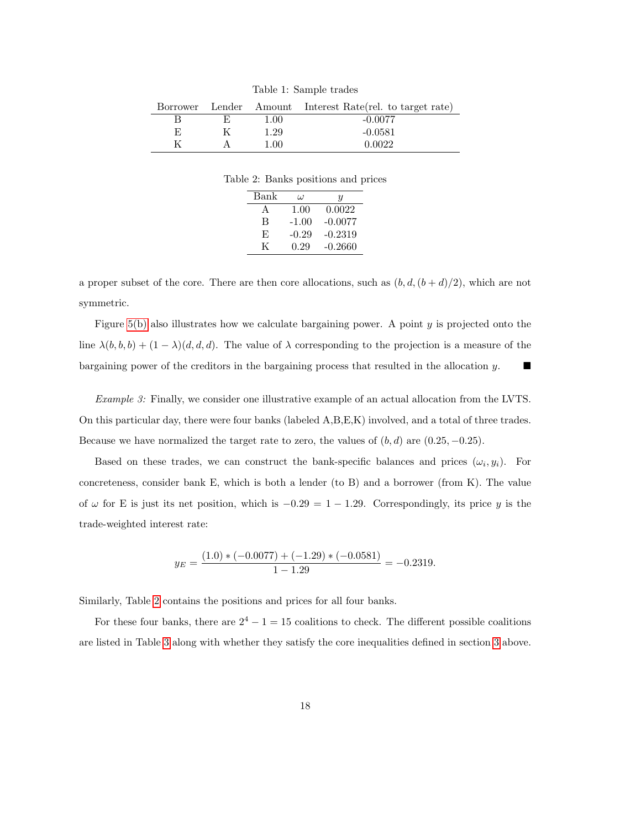<span id="page-18-1"></span>Table 1: Sample trades

|    |      | Borrower Lender Amount Interest Rate (rel. to target rate) |
|----|------|------------------------------------------------------------|
|    | 1.00 | $-0.0077$                                                  |
| Е. | 1.29 | $-0.0581$                                                  |
|    | 100  | 0.0022                                                     |

Table 2: Banks positions and prices

<span id="page-18-0"></span>

| Bank | $\iota$ | Ų         |
|------|---------|-----------|
| A    | 1.00    | 0.0022    |
| B    | $-1.00$ | $-0.0077$ |
| F,   | $-0.29$ | $-0.2319$ |
| K    | 0.29    | $-0.2660$ |

a proper subset of the core. There are then core allocations, such as  $(b, d, (b + d)/2)$ , which are not symmetric.

Figure  $5(b)$  also illustrates how we calculate bargaining power. A point  $y$  is projected onto the line  $\lambda(b, b, b) + (1 - \lambda)(d, d, d)$ . The value of  $\lambda$  corresponding to the projection is a measure of the bargaining power of the creditors in the bargaining process that resulted in the allocation  $y$ .

Example 3: Finally, we consider one illustrative example of an actual allocation from the LVTS. On this particular day, there were four banks (labeled A,B,E,K) involved, and a total of three trades. Because we have normalized the target rate to zero, the values of  $(b, d)$  are  $(0.25, -0.25)$ .

Based on these trades, we can construct the bank-specific balances and prices  $(\omega_i, y_i)$ . For concreteness, consider bank E, which is both a lender (to B) and a borrower (from K). The value of  $\omega$  for E is just its net position, which is  $-0.29 = 1 - 1.29$ . Correspondingly, its price y is the trade-weighted interest rate:

$$
y_E = \frac{(1.0) * (-0.0077) + (-1.29) * (-0.0581)}{1 - 1.29} = -0.2319.
$$

Similarly, Table [2](#page-18-0) contains the positions and prices for all four banks.

For these four banks, there are  $2^4 - 1 = 15$  coalitions to check. The different possible coalitions are listed in Table [3](#page-19-0) along with whether they satisfy the core inequalities defined in section [3](#page-12-0) above.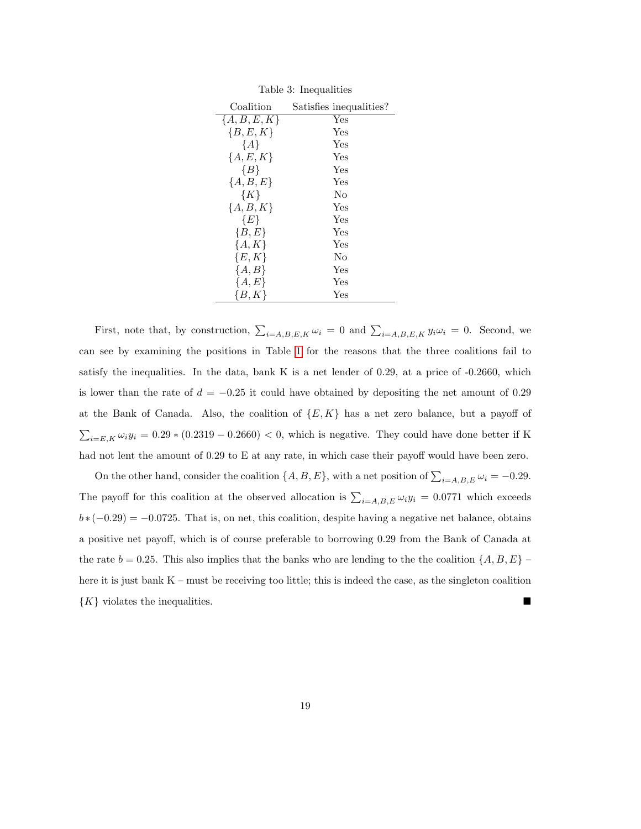| Coalition      | Satisfies inequalities? |
|----------------|-------------------------|
| ${A, B, E, K}$ | Yes                     |
| ${B, E, K}$    | Yes                     |
| ${A}$          | Yes                     |
| $\{A, E, K\}$  | Yes                     |
| ${B}$          | Yes                     |
| ${A, B, E}$    | Yes                     |
| $\{K\}$        | No                      |
| ${A, B, K}$    | Yes                     |
| $\{E\}$        | Yes                     |
| ${B, E}$       | Yes                     |
| ${A, K}$       | Yes                     |
| $\{E,K\}$      | No                      |
| ${A, B}$       | Yes                     |
| $\{A, E\}$     | Yes                     |
| ${B,K}$        | Yes                     |

<span id="page-19-0"></span>Table 3: Inequalities

First, note that, by construction,  $\sum_{i=A,B,E,K} \omega_i = 0$  and  $\sum_{i=A,B,E,K} y_i \omega_i = 0$ . Second, we can see by examining the positions in Table [1](#page-18-1) for the reasons that the three coalitions fail to satisfy the inequalities. In the data, bank K is a net lender of 0.29, at a price of -0.2660, which is lower than the rate of  $d = -0.25$  it could have obtained by depositing the net amount of 0.29 at the Bank of Canada. Also, the coalition of  $\{E, K\}$  has a net zero balance, but a payoff of  $\sum_{i=E,K} \omega_i y_i = 0.29 * (0.2319 - 0.2660) < 0$ , which is negative. They could have done better if K had not lent the amount of 0.29 to E at any rate, in which case their payoff would have been zero.

On the other hand, consider the coalition  $\{A, B, E\}$ , with a net position of  $\sum_{i=A, B, E} \omega_i = -0.29$ . The payoff for this coalition at the observed allocation is  $\sum_{i=A,B,E} \omega_i y_i = 0.0771$  which exceeds  $b * (-0.29) = -0.0725$ . That is, on net, this coalition, despite having a negative net balance, obtains a positive net payoff, which is of course preferable to borrowing 0.29 from the Bank of Canada at the rate  $b = 0.25$ . This also implies that the banks who are lending to the the coalition  $\{A, B, E\}$ here it is just bank  $K$  – must be receiving too little; this is indeed the case, as the singleton coalition  ${K}$  violates the inequalities.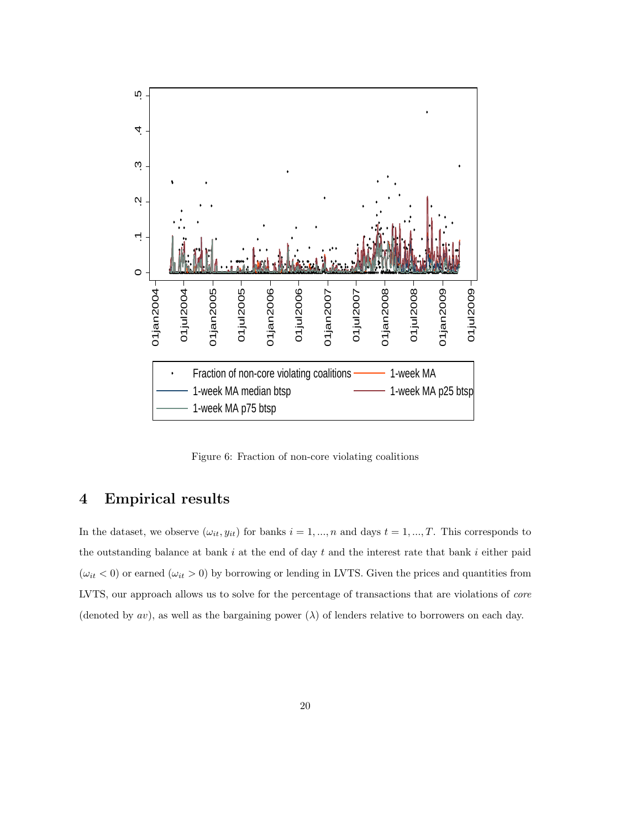

<span id="page-20-0"></span>Figure 6: Fraction of non-core violating coalitions

# 4 Empirical results

In the dataset, we observe  $(\omega_{it}, y_{it})$  for banks  $i = 1, ..., n$  and days  $t = 1, ..., T$ . This corresponds to the outstanding balance at bank  $i$  at the end of day  $t$  and the interest rate that bank  $i$  either paid  $(\omega_{it} < 0)$  or earned  $(\omega_{it} > 0)$  by borrowing or lending in LVTS. Given the prices and quantities from LVTS, our approach allows us to solve for the percentage of transactions that are violations of core (denoted by  $av$ ), as well as the bargaining power ( $\lambda$ ) of lenders relative to borrowers on each day.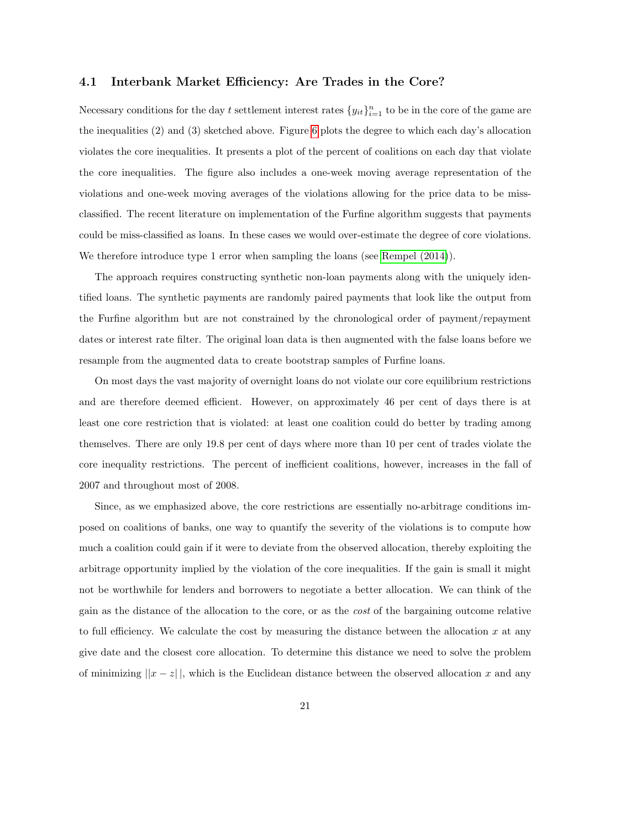## 4.1 Interbank Market Efficiency: Are Trades in the Core?

Necessary conditions for the day t settlement interest rates  $\{y_{it}\}_{i=1}^n$  to be in the core of the game are the inequalities (2) and (3) sketched above. Figure [6](#page-20-0) plots the degree to which each day's allocation violates the core inequalities. It presents a plot of the percent of coalitions on each day that violate the core inequalities. The figure also includes a one-week moving average representation of the violations and one-week moving averages of the violations allowing for the price data to be missclassified. The recent literature on implementation of the Furfine algorithm suggests that payments could be miss-classified as loans. In these cases we would over-estimate the degree of core violations. We therefore introduce type 1 error when sampling the loans (see Rempel  $(2014)$ ).

The approach requires constructing synthetic non-loan payments along with the uniquely identified loans. The synthetic payments are randomly paired payments that look like the output from the Furfine algorithm but are not constrained by the chronological order of payment/repayment dates or interest rate filter. The original loan data is then augmented with the false loans before we resample from the augmented data to create bootstrap samples of Furfine loans.

On most days the vast majority of overnight loans do not violate our core equilibrium restrictions and are therefore deemed efficient. However, on approximately 46 per cent of days there is at least one core restriction that is violated: at least one coalition could do better by trading among themselves. There are only 19.8 per cent of days where more than 10 per cent of trades violate the core inequality restrictions. The percent of inefficient coalitions, however, increases in the fall of 2007 and throughout most of 2008.

Since, as we emphasized above, the core restrictions are essentially no-arbitrage conditions imposed on coalitions of banks, one way to quantify the severity of the violations is to compute how much a coalition could gain if it were to deviate from the observed allocation, thereby exploiting the arbitrage opportunity implied by the violation of the core inequalities. If the gain is small it might not be worthwhile for lenders and borrowers to negotiate a better allocation. We can think of the gain as the distance of the allocation to the core, or as the cost of the bargaining outcome relative to full efficiency. We calculate the cost by measuring the distance between the allocation  $x$  at any give date and the closest core allocation. To determine this distance we need to solve the problem of minimizing  $||x - z||$ , which is the Euclidean distance between the observed allocation x and any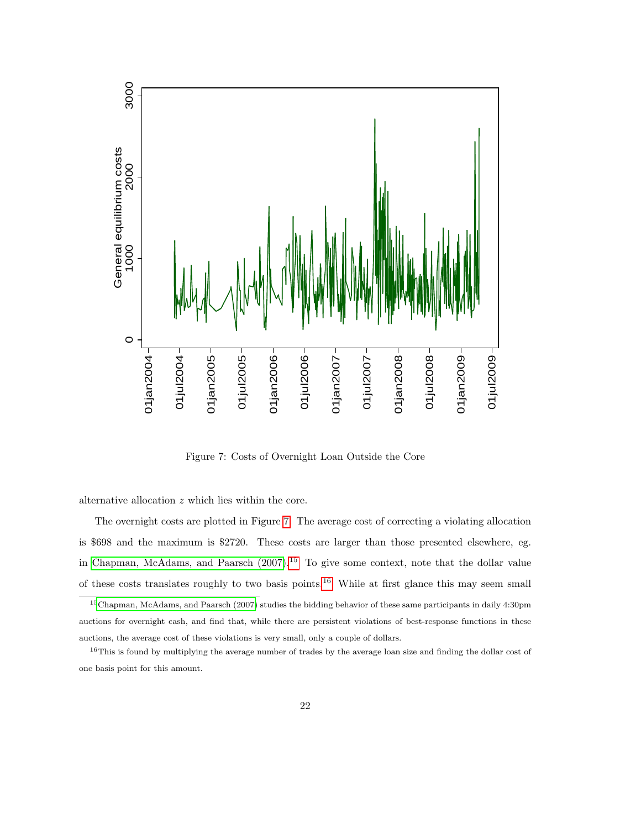

<span id="page-22-0"></span>Figure 7: Costs of Overnight Loan Outside the Core

alternative allocation z which lies within the core.

The overnight costs are plotted in Figure [7.](#page-22-0) The average cost of correcting a violating allocation is \$698 and the maximum is \$2720. These costs are larger than those presented elsewhere, eg. in Chapman, McAdams, and Paarsch  $(2007)^{15}$  $(2007)^{15}$  $(2007)^{15}$  To give some context, note that the dollar value of these costs translates roughly to two basis points.[16](#page-0-0) While at first glance this may seem small

<sup>15</sup>[Chapman, McAdams, and Paarsch \(2007\)](#page-39-3) studies the bidding behavior of these same participants in daily 4:30pm auctions for overnight cash, and find that, while there are persistent violations of best-response functions in these auctions, the average cost of these violations is very small, only a couple of dollars.

<sup>&</sup>lt;sup>16</sup>This is found by multiplying the average number of trades by the average loan size and finding the dollar cost of one basis point for this amount.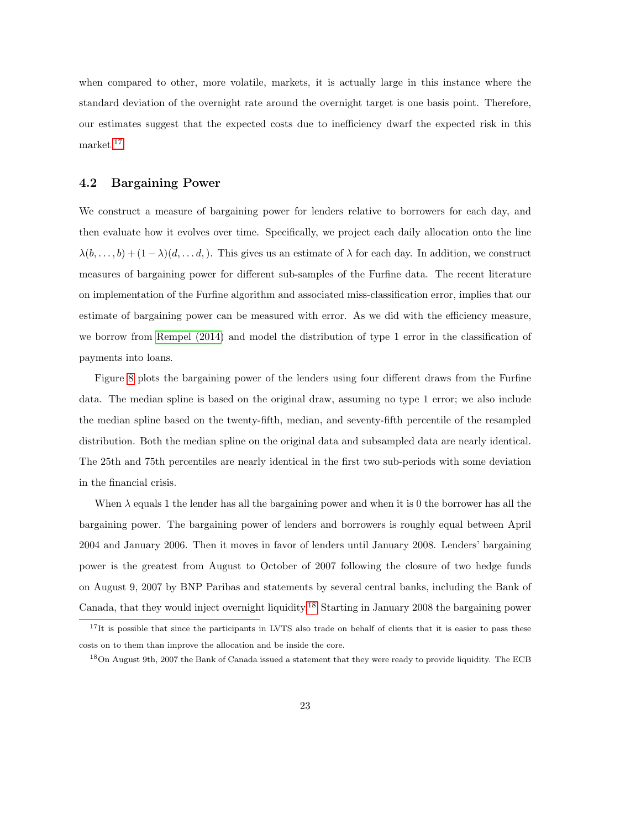when compared to other, more volatile, markets, it is actually large in this instance where the standard deviation of the overnight rate around the overnight target is one basis point. Therefore, our estimates suggest that the expected costs due to inefficiency dwarf the expected risk in this market.[17](#page-0-0)

## 4.2 Bargaining Power

We construct a measure of bargaining power for lenders relative to borrowers for each day, and then evaluate how it evolves over time. Specifically, we project each daily allocation onto the line  $\lambda(b,\ldots,b) + (1-\lambda)(d,\ldots,d)$ . This gives us an estimate of  $\lambda$  for each day. In addition, we construct measures of bargaining power for different sub-samples of the Furfine data. The recent literature on implementation of the Furfine algorithm and associated miss-classification error, implies that our estimate of bargaining power can be measured with error. As we did with the efficiency measure, we borrow from [Rempel \(2014\)](#page-40-4) and model the distribution of type 1 error in the classification of payments into loans.

Figure [8](#page-25-0) plots the bargaining power of the lenders using four different draws from the Furfine data. The median spline is based on the original draw, assuming no type 1 error; we also include the median spline based on the twenty-fifth, median, and seventy-fifth percentile of the resampled distribution. Both the median spline on the original data and subsampled data are nearly identical. The 25th and 75th percentiles are nearly identical in the first two sub-periods with some deviation in the financial crisis.

When  $\lambda$  equals 1 the lender has all the bargaining power and when it is 0 the borrower has all the bargaining power. The bargaining power of lenders and borrowers is roughly equal between April 2004 and January 2006. Then it moves in favor of lenders until January 2008. Lenders' bargaining power is the greatest from August to October of 2007 following the closure of two hedge funds on August 9, 2007 by BNP Paribas and statements by several central banks, including the Bank of Canada, that they would inject overnight liquidity.[18](#page-0-0) Starting in January 2008 the bargaining power

 $17$ It is possible that since the participants in LVTS also trade on behalf of clients that it is easier to pass these costs on to them than improve the allocation and be inside the core.

<sup>&</sup>lt;sup>18</sup>On August 9th, 2007 the Bank of Canada issued a statement that they were ready to provide liquidity. The ECB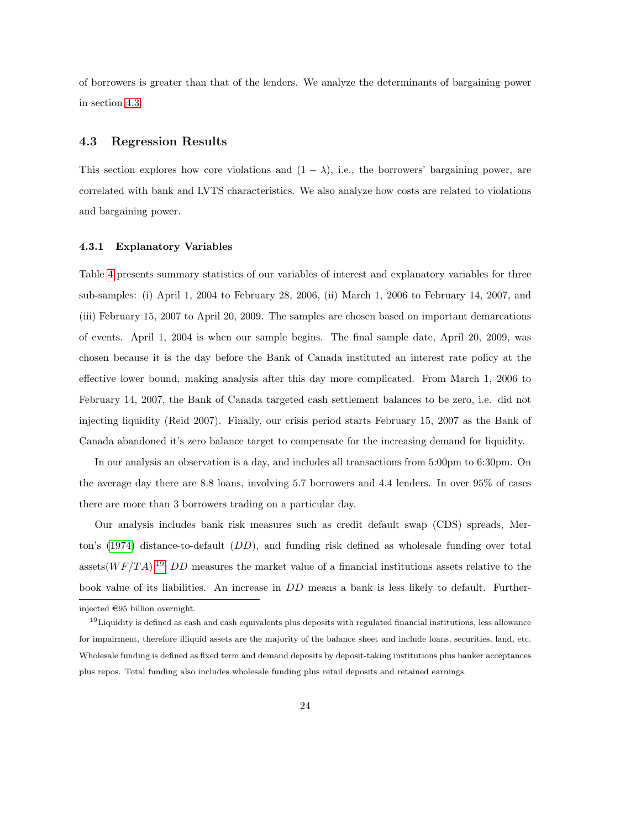of borrowers is greater than that of the lenders. We analyze the determinants of bargaining power in section [4.3.](#page-24-0)

## <span id="page-24-0"></span>4.3 Regression Results

This section explores how core violations and  $(1 - \lambda)$ , i.e., the borrowers' bargaining power, are correlated with bank and LVTS characteristics. We also analyze how costs are related to violations and bargaining power.

### 4.3.1 Explanatory Variables

Table [4](#page-27-0) presents summary statistics of our variables of interest and explanatory variables for three sub-samples: (i) April 1, 2004 to February 28, 2006, (ii) March 1, 2006 to February 14, 2007, and (iii) February 15, 2007 to April 20, 2009. The samples are chosen based on important demarcations of events. April 1, 2004 is when our sample begins. The final sample date, April 20, 2009, was chosen because it is the day before the Bank of Canada instituted an interest rate policy at the effective lower bound, making analysis after this day more complicated. From March 1, 2006 to February 14, 2007, the Bank of Canada targeted cash settlement balances to be zero, i.e. did not injecting liquidity (Reid 2007). Finally, our crisis period starts February 15, 2007 as the Bank of Canada abandoned it's zero balance target to compensate for the increasing demand for liquidity.

In our analysis an observation is a day, and includes all transactions from 5:00pm to 6:30pm. On the average day there are 8.8 loans, involving 5.7 borrowers and 4.4 lenders. In over 95% of cases there are more than 3 borrowers trading on a particular day.

Our analysis includes bank risk measures such as credit default swap (CDS) spreads, Merton's [\(1974\)](#page-40-8) distance-to-default (DD), and funding risk defined as wholesale funding over total assets( $W F/T A$ ).<sup>[19](#page-0-0)</sup> DD measures the market value of a financial institutions assets relative to the book value of its liabilities. An increase in DD means a bank is less likely to default. Further-

injected  $\in$ 95 billion overnight.

 $19$ Liquidity is defined as cash and cash equivalents plus deposits with regulated financial institutions, less allowance for impairment, therefore illiquid assets are the majority of the balance sheet and include loans, securities, land, etc. Wholesale funding is defined as fixed term and demand deposits by deposit-taking institutions plus banker acceptances plus repos. Total funding also includes wholesale funding plus retail deposits and retained earnings.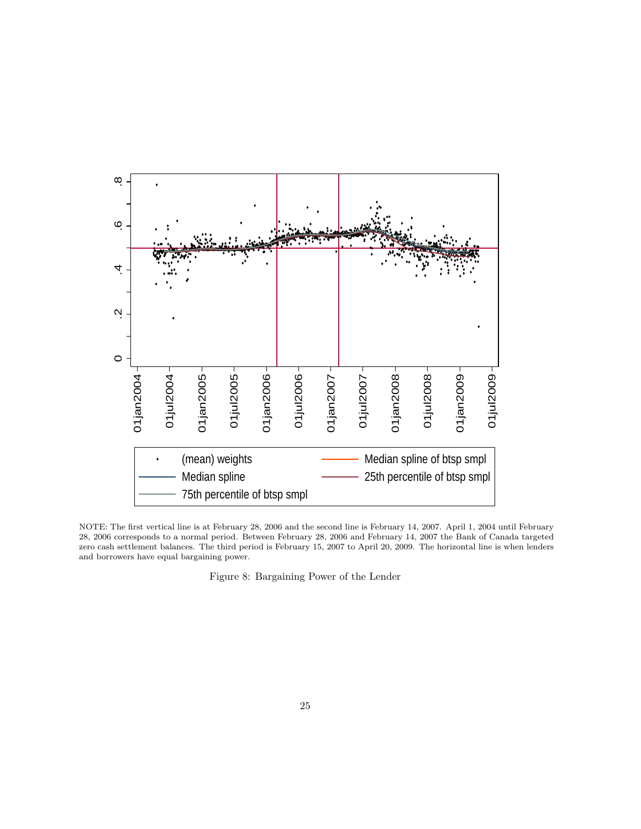

NOTE: The first vertical line is at February 28, 2006 and the second line is February 14, 2007. April 1, 2004 until February 28, 2006 corresponds to a normal period. Between February 28, 2006 and February 14, 2007 the Bank of Canada targeted zero cash settlement balances. The third period is February 15, 2007 to April 20, 2009. The horizontal line is when lenders and borrowers have equal bargaining power.

<span id="page-25-0"></span>Figure 8: Bargaining Power of the Lender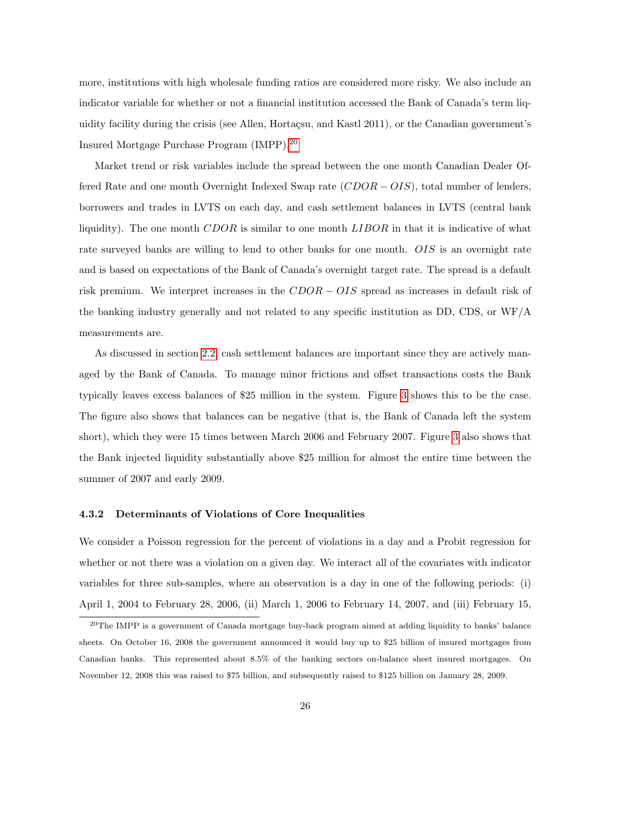more, institutions with high wholesale funding ratios are considered more risky. We also include an indicator variable for whether or not a financial institution accessed the Bank of Canada's term liquidity facility during the crisis (see Allen, Hortaçsu, and Kastl 2011), or the Canadian government's Insured Mortgage Purchase Program (IMPP).[20](#page-0-0)

Market trend or risk variables include the spread between the one month Canadian Dealer Offered Rate and one month Overnight Indexed Swap rate (CDOR − OIS), total number of lenders, borrowers and trades in LVTS on each day, and cash settlement balances in LVTS (central bank liquidity). The one month  $CDOR$  is similar to one month  $LIBOR$  in that it is indicative of what rate surveyed banks are willing to lend to other banks for one month. OIS is an overnight rate and is based on expectations of the Bank of Canada's overnight target rate. The spread is a default risk premium. We interpret increases in the CDOR − OIS spread as increases in default risk of the banking industry generally and not related to any specific institution as DD, CDS, or WF/A measurements are.

As discussed in section [2.2,](#page-9-1) cash settlement balances are important since they are actively managed by the Bank of Canada. To manage minor frictions and offset transactions costs the Bank typically leaves excess balances of \$25 million in the system. Figure [3](#page-11-0) shows this to be the case. The figure also shows that balances can be negative (that is, the Bank of Canada left the system short), which they were 15 times between March 2006 and February 2007. Figure [3](#page-11-0) also shows that the Bank injected liquidity substantially above \$25 million for almost the entire time between the summer of 2007 and early 2009.

## 4.3.2 Determinants of Violations of Core Inequalities

We consider a Poisson regression for the percent of violations in a day and a Probit regression for whether or not there was a violation on a given day. We interact all of the covariates with indicator variables for three sub-samples, where an observation is a day in one of the following periods: (i) April 1, 2004 to February 28, 2006, (ii) March 1, 2006 to February 14, 2007, and (iii) February 15,

 $20$ The IMPP is a government of Canada mortgage buy-back program aimed at adding liquidity to banks' balance sheets. On October 16, 2008 the government announced it would buy up to \$25 billion of insured mortgages from Canadian banks. This represented about 8.5% of the banking sectors on-balance sheet insured mortgages. On November 12, 2008 this was raised to \$75 billion, and subsequently raised to \$125 billion on January 28, 2009.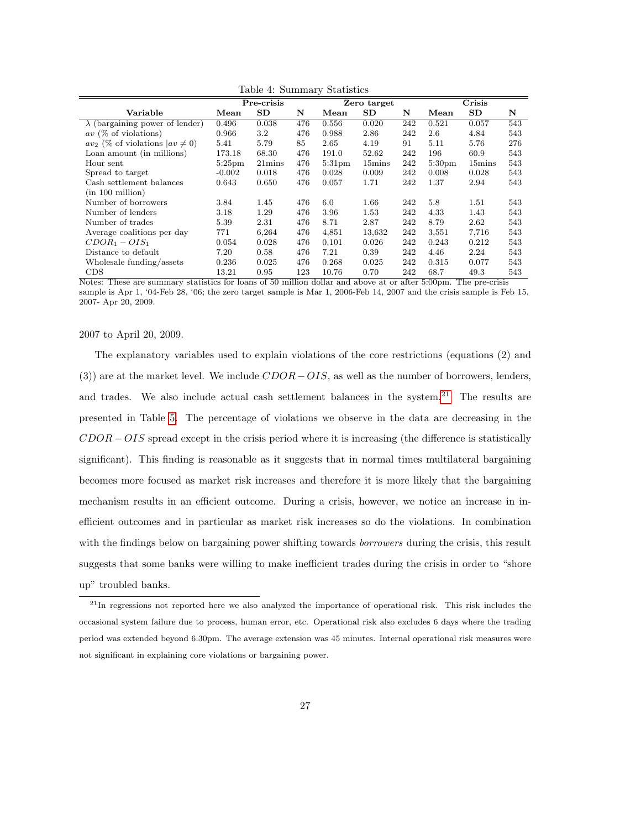|                                        |           | Pre-crisis       |     |           | Zero target |     |                    | Crisis           |     |
|----------------------------------------|-----------|------------------|-----|-----------|-------------|-----|--------------------|------------------|-----|
| Variable                               | Mean      | SD               | N   | Mean      | SD          | N   | Mean               | SD               | N   |
| $\lambda$ (bargaining power of lender) | 0.496     | 0.038            | 476 | 0.556     | 0.020       | 242 | 0.521              | 0.057            | 543 |
| $av$ (% of violations)                 | 0.966     | 3.2              | 476 | 0.988     | 2.86        | 242 | 2.6                | 4.84             | 543 |
| $av_2$ (% of violations $ av \neq 0$ ) | 5.41      | 5.79             | 85  | 2.65      | 4.19        | 91  | 5.11               | 5.76             | 276 |
| Loan amount (in millions)              | 173.18    | 68.30            | 476 | 191.0     | 52.62       | 242 | 196                | 60.9             | 543 |
| Hour sent                              | $5:25$ pm | $21 \text{mins}$ | 476 | $5:31$ pm | 15mins      | 242 | 5:30 <sub>pm</sub> | $15 \text{mins}$ | 543 |
| Spread to target                       | $-0.002$  | 0.018            | 476 | 0.028     | 0.009       | 242 | 0.008              | 0.028            | 543 |
| Cash settlement balances               | 0.643     | 0.650            | 476 | 0.057     | 1.71        | 242 | 1.37               | 2.94             | 543 |
| (in 100 million)                       |           |                  |     |           |             |     |                    |                  |     |
| Number of borrowers                    | 3.84      | 1.45             | 476 | 6.0       | 1.66        | 242 | 5.8                | 1.51             | 543 |
| Number of lenders                      | 3.18      | 1.29             | 476 | 3.96      | 1.53        | 242 | 4.33               | 1.43             | 543 |
| Number of trades                       | 5.39      | 2.31             | 476 | 8.71      | 2.87        | 242 | 8.79               | 2.62             | 543 |
| Average coalitions per day             | 771       | 6,264            | 476 | 4,851     | 13.632      | 242 | 3.551              | 7,716            | 543 |
| $CDOR_1 - OIS_1$                       | 0.054     | 0.028            | 476 | 0.101     | 0.026       | 242 | 0.243              | 0.212            | 543 |
| Distance to default                    | 7.20      | 0.58             | 476 | 7.21      | 0.39        | 242 | 4.46               | 2.24             | 543 |
| Wholesale funding/assets               | 0.236     | 0.025            | 476 | 0.268     | 0.025       | 242 | 0.315              | 0.077            | 543 |
| CDS                                    | 13.21     | 0.95             | 123 | 10.76     | 0.70        | 242 | 68.7               | 49.3             | 543 |

<span id="page-27-0"></span>Table 4: Summary Statistics

Notes: These are summary statistics for loans of 50 million dollar and above at or after 5:00pm. The pre-crisis sample is Apr 1, '04-Feb 28, '06; the zero target sample is Mar 1, 2006-Feb 14, 2007 and the crisis sample is Feb 15, 2007- Apr 20, 2009.

#### 2007 to April 20, 2009.

The explanatory variables used to explain violations of the core restrictions (equations (2) and (3)) are at the market level. We include  $CDOR - OIS$ , as well as the number of borrowers, lenders, and trades. We also include actual cash settlement balances in the system. $^{21}$  $^{21}$  $^{21}$  The results are presented in Table [5.](#page-31-0) The percentage of violations we observe in the data are decreasing in the  $CDOR - OIS$  spread except in the crisis period where it is increasing (the difference is statistically significant). This finding is reasonable as it suggests that in normal times multilateral bargaining becomes more focused as market risk increases and therefore it is more likely that the bargaining mechanism results in an efficient outcome. During a crisis, however, we notice an increase in inefficient outcomes and in particular as market risk increases so do the violations. In combination with the findings below on bargaining power shifting towards *borrowers* during the crisis, this result suggests that some banks were willing to make inefficient trades during the crisis in order to "shore up" troubled banks.

<sup>21</sup>In regressions not reported here we also analyzed the importance of operational risk. This risk includes the occasional system failure due to process, human error, etc. Operational risk also excludes 6 days where the trading period was extended beyond 6:30pm. The average extension was 45 minutes. Internal operational risk measures were not significant in explaining core violations or bargaining power.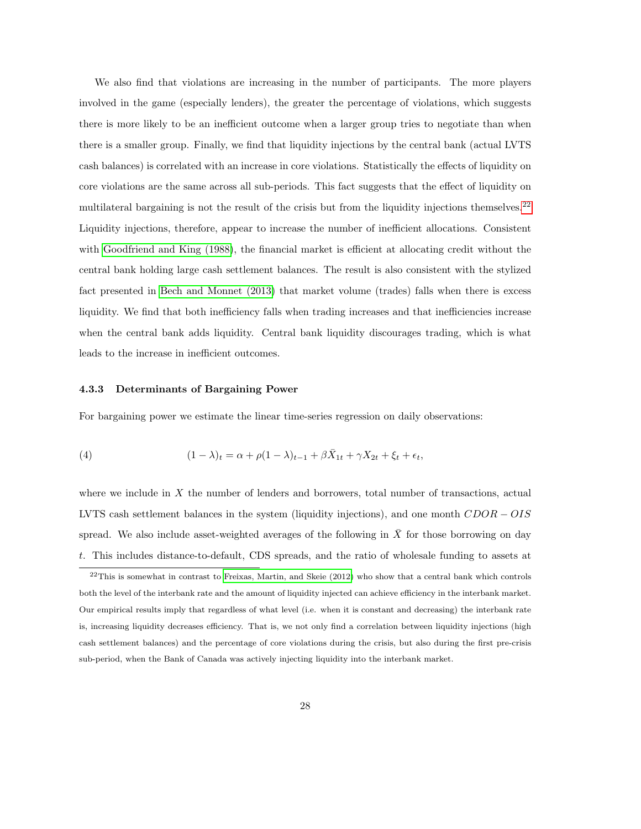We also find that violations are increasing in the number of participants. The more players involved in the game (especially lenders), the greater the percentage of violations, which suggests there is more likely to be an inefficient outcome when a larger group tries to negotiate than when there is a smaller group. Finally, we find that liquidity injections by the central bank (actual LVTS cash balances) is correlated with an increase in core violations. Statistically the effects of liquidity on core violations are the same across all sub-periods. This fact suggests that the effect of liquidity on multilateral bargaining is not the result of the crisis but from the liquidity injections themselves.<sup>[22](#page-34-0)</sup> Liquidity injections, therefore, appear to increase the number of inefficient allocations. Consistent with [Goodfriend and King \(1988\)](#page-39-11), the financial market is efficient at allocating credit without the central bank holding large cash settlement balances. The result is also consistent with the stylized fact presented in [Bech and Monnet \(2013\)](#page-38-10) that market volume (trades) falls when there is excess liquidity. We find that both inefficiency falls when trading increases and that inefficiencies increase when the central bank adds liquidity. Central bank liquidity discourages trading, which is what leads to the increase in inefficient outcomes.

#### 4.3.3 Determinants of Bargaining Power

For bargaining power we estimate the linear time-series regression on daily observations:

(4) 
$$
(1 - \lambda)_t = \alpha + \rho(1 - \lambda)_{t-1} + \beta \bar{X}_{1t} + \gamma X_{2t} + \xi_t + \epsilon_t,
$$

where we include in  $X$  the number of lenders and borrowers, total number of transactions, actual LVTS cash settlement balances in the system (liquidity injections), and one month CDOR − OIS spread. We also include asset-weighted averages of the following in  $\bar{X}$  for those borrowing on day t. This includes distance-to-default, CDS spreads, and the ratio of wholesale funding to assets at

 $22$ This is somewhat in contrast to [Freixas, Martin, and Skeie \(2012\)](#page-39-12) who show that a central bank which controls both the level of the interbank rate and the amount of liquidity injected can achieve efficiency in the interbank market. Our empirical results imply that regardless of what level (i.e. when it is constant and decreasing) the interbank rate is, increasing liquidity decreases efficiency. That is, we not only find a correlation between liquidity injections (high cash settlement balances) and the percentage of core violations during the crisis, but also during the first pre-crisis sub-period, when the Bank of Canada was actively injecting liquidity into the interbank market.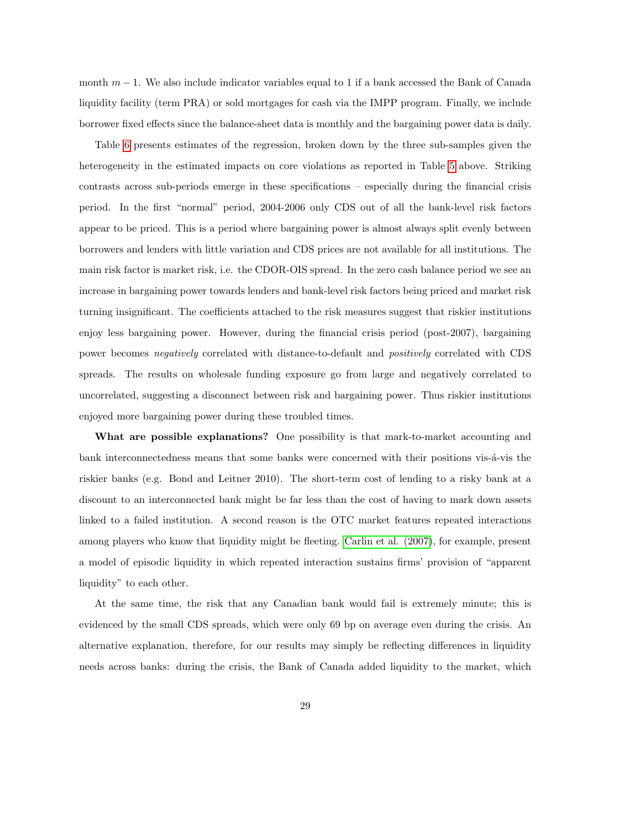month  $m-1$ . We also include indicator variables equal to 1 if a bank accessed the Bank of Canada liquidity facility (term PRA) or sold mortgages for cash via the IMPP program. Finally, we include borrower fixed effects since the balance-sheet data is monthly and the bargaining power data is daily.

Table [6](#page-32-0) presents estimates of the regression, broken down by the three sub-samples given the heterogeneity in the estimated impacts on core violations as reported in Table [5](#page-31-0) above. Striking contrasts across sub-periods emerge in these specifications – especially during the financial crisis period. In the first "normal" period, 2004-2006 only CDS out of all the bank-level risk factors appear to be priced. This is a period where bargaining power is almost always split evenly between borrowers and lenders with little variation and CDS prices are not available for all institutions. The main risk factor is market risk, i.e. the CDOR-OIS spread. In the zero cash balance period we see an increase in bargaining power towards lenders and bank-level risk factors being priced and market risk turning insignificant. The coefficients attached to the risk measures suggest that riskier institutions enjoy less bargaining power. However, during the financial crisis period (post-2007), bargaining power becomes negatively correlated with distance-to-default and positively correlated with CDS spreads. The results on wholesale funding exposure go from large and negatively correlated to uncorrelated, suggesting a disconnect between risk and bargaining power. Thus riskier institutions enjoyed more bargaining power during these troubled times.

What are possible explanations? One possibility is that mark-to-market accounting and bank interconnectedness means that some banks were concerned with their positions vis- $\acute{a}$ -vis the riskier banks (e.g. Bond and Leitner 2010). The short-term cost of lending to a risky bank at a discount to an interconnected bank might be far less than the cost of having to mark down assets linked to a failed institution. A second reason is the OTC market features repeated interactions among players who know that liquidity might be fleeting. [Carlin et al. \(2007\)](#page-39-6), for example, present a model of episodic liquidity in which repeated interaction sustains firms' provision of "apparent liquidity" to each other.

At the same time, the risk that any Canadian bank would fail is extremely minute; this is evidenced by the small CDS spreads, which were only 69 bp on average even during the crisis. An alternative explanation, therefore, for our results may simply be reflecting differences in liquidity needs across banks: during the crisis, the Bank of Canada added liquidity to the market, which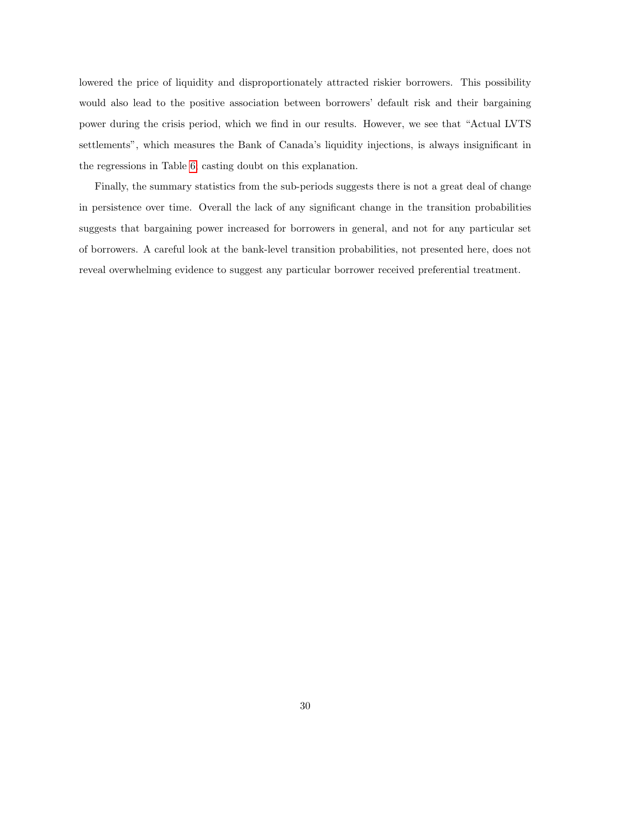lowered the price of liquidity and disproportionately attracted riskier borrowers. This possibility would also lead to the positive association between borrowers' default risk and their bargaining power during the crisis period, which we find in our results. However, we see that "Actual LVTS settlements", which measures the Bank of Canada's liquidity injections, is always insignificant in the regressions in Table [6;](#page-32-0) casting doubt on this explanation.

Finally, the summary statistics from the sub-periods suggests there is not a great deal of change in persistence over time. Overall the lack of any significant change in the transition probabilities suggests that bargaining power increased for borrowers in general, and not for any particular set of borrowers. A careful look at the bank-level transition probabilities, not presented here, does not reveal overwhelming evidence to suggest any particular borrower received preferential treatment.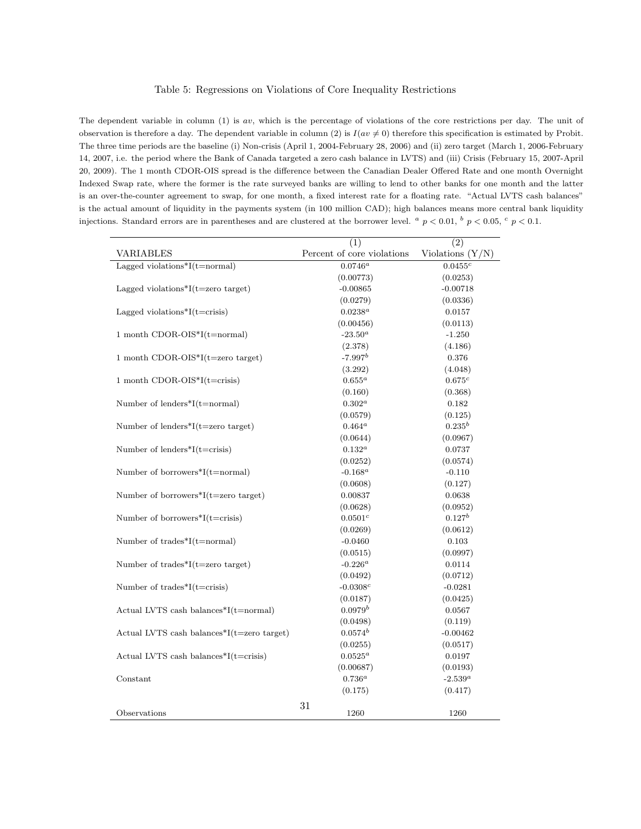### <span id="page-31-0"></span>Table 5: Regressions on Violations of Core Inequality Restrictions

The dependent variable in column  $(1)$  is av, which is the percentage of violations of the core restrictions per day. The unit of observation is therefore a day. The dependent variable in column (2) is  $I(av \neq 0)$  therefore this specification is estimated by Probit. The three time periods are the baseline (i) Non-crisis (April 1, 2004-February 28, 2006) and (ii) zero target (March 1, 2006-February 14, 2007, i.e. the period where the Bank of Canada targeted a zero cash balance in LVTS) and (iii) Crisis (February 15, 2007-April 20, 2009). The 1 month CDOR-OIS spread is the difference between the Canadian Dealer Offered Rate and one month Overnight Indexed Swap rate, where the former is the rate surveyed banks are willing to lend to other banks for one month and the latter is an over-the-counter agreement to swap, for one month, a fixed interest rate for a floating rate. "Actual LVTS cash balances" is the actual amount of liquidity in the payments system (in 100 million CAD); high balances means more central bank liquidity injections. Standard errors are in parentheses and are clustered at the borrower level.  $a\ p < 0.01$ ,  $b\ p < 0.05$ ,  $c\ p < 0.1$ .

|                                            | (1)                        | $\overline{(2)}$   |
|--------------------------------------------|----------------------------|--------------------|
| VARIABLES                                  | Percent of core violations | Violations $(Y/N)$ |
| Lagged violations $*I(t=normal)$           | $0.0746^{a}$               | $0.0455^c$         |
|                                            | (0.00773)                  | (0.0253)           |
| Lagged violations $I(t = zero \ target)$   | $-0.00865$                 | $-0.00718$         |
|                                            | (0.0279)                   | (0.0336)           |
| Lagged violations $I(t=crisis)$            | $0.0238^a$                 | 0.0157             |
|                                            | (0.00456)                  | (0.0113)           |
| 1 month $\text{CDOR-OIS*I(t=normal)}$      | $-23.50^a$                 | $-1.250$           |
|                                            | (2.378)                    | (4.186)            |
| 1 month CDOR-OIS*I $(t = zero \ target)$   | $-7.997^b$                 | 0.376              |
|                                            | (3.292)                    | (4.048)            |
| 1 month $CDOR-OIS*I(t=crisis)$             | $0.655^a$                  | 0.675c             |
|                                            | (0.160)                    | (0.368)            |
| Number of lenders*I $(t=normal)$           | $0.302^a$                  | 0.182              |
|                                            | (0.0579)                   | (0.125)            |
| Number of lenders*I $(t = zero \ target)$  | $0.464^{a}$                | $0.235^{b}$        |
|                                            | (0.0644)                   | (0.0967)           |
| Number of lenders*I $(t=crisis)$           | $0.132^{a}$                | 0.0737             |
|                                            | (0.0252)                   | (0.0574)           |
| Number of borrowers*I(t=normal)            | -0.168 $^a$                | $-0.110$           |
|                                            | (0.0608)                   | (0.127)            |
| Number of borrowers*I(t=zero target)       | 0.00837                    | 0.0638             |
|                                            | (0.0628)                   | (0.0952)           |
| Number of borrowers*I $(t=crisis)$         | $0.0501^{c}$               | $0.127^b$          |
|                                            | (0.0269)                   | (0.0612)           |
| Number of trades*I(t=normal)               | $-0.0460$                  | 0.103              |
|                                            | (0.0515)                   | (0.0997)           |
| Number of trades*I $(t = zero \ target)$   | $-0.226^a$                 | 0.0114             |
|                                            | (0.0492)                   | (0.0712)           |
| Number of $trades*I(t=crisis)$             | $-0.0308c$                 | $-0.0281$          |
|                                            | (0.0187)                   | (0.0425)           |
| Actual LVTS cash balances*I(t=normal)      | $0.0979^{b}$               | 0.0567             |
|                                            | (0.0498)                   | (0.119)            |
| Actual LVTS cash balances*I(t=zero target) | $0.0574^{b}$               | $-0.00462$         |
|                                            | (0.0255)                   | (0.0517)           |
| Actual LVTS cash balances $I(t=crisis)$    | $0.0525^{\rm a}$           | 0.0197             |
|                                            | (0.00687)                  | (0.0193)           |
| Constant                                   | $0.736^a$                  | $-2.539^{a}$       |
|                                            | (0.175)                    | (0.417)            |
|                                            | 31                         |                    |
| Observations                               | 1260                       | 1260               |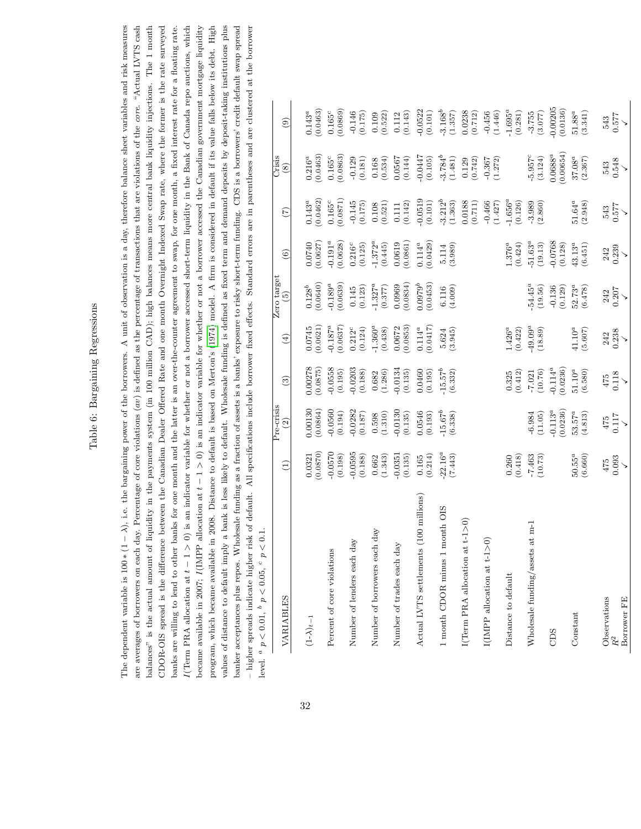# Table 6: Bargaining Regressions Table 6: Bargaining Regressions

<span id="page-32-0"></span>values of distance to default imply a bank is less likely to default. Wholesale funding is defined as fixed term and demand deposits by deposit-taking institutions plus The dependent variable is  $100 * (1 - \lambda)$ , i.e. the bargaining power of the borrowers. A unit of observation is a day, therefore balance sheet variables and risk measures are averages of borrowers on each day. Percentage of core violations  $(av)$  is defined as the percentage of transactions that are violations of the *core*. "Actual LVTS cash palances" is the actual amount of liquidity in the payments system (in 100 million CAD); high balances means more central bank liquidity injections. The 1 month CDOR-OIS spread is the difference between the Canadian Dealer Offered Rate and one month Overnight Indexed Swap rate, where the former is the rate surveyed (Term PRA allocation at  $t-1>0$ ) is an indicator variable for whether or not a borrower accessed short-term liquidity in the Bank of Canada repo auctions, which became available in 2007;  $I(IMPP$  allocation at  $t-1>0$ ) is an indicator variable for whether or not a borrower accessed the Canadian government mortgage liquidity program, which became available in 2008. Distance to default is based on Merton's (1974) model. A firm is considered in default if its value falls below its debt. High banker acceptances plus repos. Wholesale funding as a fraction of assets is a banks' exposure to risky short-term funding. CDS is a borrowers' credit default swap spread banks are willing to lend to other banks for one month and the latter is an over-the-counter agreement to swap, for one month, a fixed interest rate for a floating rate. - higher spreads indicate higher risk of default. All specifications include borrower fixed effects. Standard errors are in parentheses and are clustered at the borrower The dependent variable is 100 ∗ (1 − λ), i.e. the bargaining power of the borrowers. A unit of observation is a day, therefore balance sheet variables and risk measures are averages of borrowers on each day. Percentage of core violations (av) is defined as the percentage of transactions that are violations of the core. "Actual LVTS cash balances" is the actual amount of liquidity in the payments system (in 100 million CAD); high balances means more central bank liquidity injections. The 1 month CDOR-OIS spread is the difference between the Canadian Dealer Offered Rate and one month Overnight Indexed Swap rate, where the former is the rate surveyed banks are willing to lend to other banks for one month and the latter is an over-the-counter agreement to swap, for one month, a fixed interest rate for a floating rate. I(Term PRA allocation at  $t - 1 > 0$ ) is an indicator variable for whether or not a borrower accessed short-term liquidity in the Bank of Canada repo auctions, which became available in 2007; I(IMPP allocation at t − 1 > 0) is an indicator variable for whether or not a borrower accessed the Canadian government mortgage liquidity program, which became available in 2008. Distance to default is based on Merton's [\(1974\)](#page-40-8) model. A firm is considered in default if its value falls below its debt. High values of distance to default imply a bank is less likely to default. Wholesale funding is defined as fixed term and demand deposits by deposit-taking institutions plus banker acceptances plus repos. Wholesale funding as a fraction of assets is a banks' exposure to risky short-term funding. CDS is a borrowers' credit default swap spread – higher spreads indicate higher risk of default. All specifications include borrower fixed effects. Standard errors are in parentheses and are clustered at the borrower evel. "  $p<0.01,$  "  $p<0.05,$  "  $p<0.1.$ level.  ${}^{a}$   $p < 0.01, {}^{b}$   $p < 0.05, {}^{c}$   $p < 0.1$ .  $\mathbf{I}$ 

| VARIABLES                              | Ξ                                                                     | Pre-crisis<br>$\widehat{2}$                                           | $\widehat{c}$                                   | $\widehat{E}$                                                            | Zero target<br>$\widehat{5}$                    | $\widehat{6}$                                                            | $\widehat{(\mathbf{z})}$                                 | Crisis<br>$\circledast$                                  | $\widehat{e}$                                                                                 |
|----------------------------------------|-----------------------------------------------------------------------|-----------------------------------------------------------------------|-------------------------------------------------|--------------------------------------------------------------------------|-------------------------------------------------|--------------------------------------------------------------------------|----------------------------------------------------------|----------------------------------------------------------|-----------------------------------------------------------------------------------------------|
| $(1-\lambda)_{t-1}$                    |                                                                       |                                                                       |                                                 |                                                                          |                                                 |                                                                          |                                                          |                                                          |                                                                                               |
|                                        | (0.0321)                                                              | (0.00130)                                                             | (0.00278)                                       | (0.0745)                                                                 | $\frac{0.128^b}{(0.0640)}$                      | $(0.0740$<br>$(0.0627)$                                                  | $0.143^a$<br>(0.0462)                                    | $\frac{0.216^a}{(0.0463)}$                               | $\frac{0.143^a}{(0.0463)}$                                                                    |
| Percent of core violations             | (0.198)                                                               | $-0.0560$<br>$(0.194)$                                                | $-0.0558$<br>$(0.195)$                          | $-0.187^a$<br>(0.0637)                                                   | $-0.189^a$<br>(0.0639)                          | $-0.191^a$<br>(0.0628)                                                   | $0.165^c$ $(0.0871)$                                     | $(0.165^c$<br>(0.0863)                                   | $(0.165^c$<br>$(0.0869)$                                                                      |
| Number of lenders each day             |                                                                       |                                                                       | $-0.0203$<br>$(0.188)$                          |                                                                          | $\begin{array}{c} 0.145 \\ (0.123) \end{array}$ |                                                                          | $-0.145$<br>(0.175)                                      | $-0.129$<br>(0.181)                                      |                                                                                               |
| Number of borrowers each day           | $\begin{array}{c} -0.0595 \\ (0.188) \\ 0.662 \\ (1.343) \end{array}$ | $\begin{array}{c} -0.0282 \\ (0.187) \\ 0.598 \\ (1.310) \end{array}$ | $\frac{0.682}{(1.286)}$                         | $\begin{array}{c} 0.212^c \\ (0.124) \\ -1.360^a \\ (0.438) \end{array}$ | $^{-1.327^a}_{(0.377)}$                         | $\begin{array}{c} 0.216^c \\ (0.125) \\ -1.372^a \\ (0.445) \end{array}$ | $\begin{array}{c} 0.108 \\ \textbf{(0.521)} \end{array}$ | $\begin{array}{c} 0.168 \\ \textbf{(0.534)} \end{array}$ |                                                                                               |
| day<br>Number of trades each           | $-0.0351$<br>$(0.135)$                                                | $-0.0130$<br>$(0.135)$                                                | $-0.0134$<br>$(0.135)$                          | $(0.0672$<br>$(0.0853)$                                                  | $(0.0969$<br>$(0.0834)$                         | (0.0619)                                                                 | $\left(0.111\right)$ $\left(0.142\right)$                | (0.167)                                                  | $\begin{array}{c} -0.146 \\ (0.175) \\ 0.109 \\ (0.522) \\ (0.512 \\ 0.112 \\ \end{array}$    |
| Actual LVTS settlements (100 millions) | $\begin{array}{c} 0.165 \\ (0.214) \end{array}$                       | (0.0546)                                                              | (0.195)                                         | $0.114^a$<br>$(0.0417)$                                                  | $0.0979b$<br>(0.0453)                           | $(0.114a$<br>(0.0429)                                                    | $-0.0519$<br>(0.101)                                     | $-0.0447$<br>7447                                        | $\begin{array}{c} -0.0522 \\ (0.101) \\ -3.168^b \\ (1.357) \\ 0.0238 \\ (0.712) \end{array}$ |
| 1 month CDOR minus 1 month OIS         | $-22.16^a$<br>(7.443)                                                 | $-15.67b$<br>(6.338)                                                  | $-15.57^b$<br>(6.332)                           | $5.624$<br>(3.945)                                                       | $6.116$<br>(4.009)                              | $5.114$<br>(3.989)                                                       | $-3.212^b$<br>(1.363)                                    | $^{-3.784^b}_{(1.481)}$                                  |                                                                                               |
| at $t-1>0$<br>I(Term PRA allocation    |                                                                       |                                                                       |                                                 |                                                                          |                                                 |                                                                          | $\begin{array}{c} 0.0188 \\ (0.711) \end{array}$         | $\frac{0.129}{(0.742)}$                                  |                                                                                               |
| $t - 1 > 0$<br>I(IMPP allocation at    |                                                                       |                                                                       |                                                 |                                                                          |                                                 |                                                                          | $-0.466$<br>(1.427)                                      | $-0.367$<br>(1.272)                                      | $-0.456$<br>(1.446)                                                                           |
| Distance to default                    | $\begin{array}{c} 0.260 \\ (0.418) \end{array}$                       |                                                                       | $\begin{array}{c} 0.325 \\ (0.412) \end{array}$ | $1.426^a$<br>(0.422)                                                     |                                                 | $1.376^a$<br>(0.424)                                                     | $-1.656^a$<br>(0.126)                                    |                                                          | $-1.695^a$<br>(0.281)                                                                         |
| Wholesale funding/assets at m-1        | $-7.463$<br>(10.73)                                                   | $-6.984$<br>(11.05)                                                   | $-7.021$<br>(10.76)                             | $-49.09^a$<br>(18.89)                                                    | $-54.45^a$<br>(19.56)                           | $-51.63^a$<br>(19.13)                                                    | $-3.989$<br>(2.860)                                      | $-5.957^c$<br>(3.124)                                    | $-3.755$<br>(3.077)                                                                           |
| CDS                                    |                                                                       | (0.0236)<br>$-0.113^{a}$                                              | $-0.114$ <sup>a</sup><br>$(0.0236)$             |                                                                          | $-0.136$<br>$(0.129)$                           | $-0.0768$<br>$(0.128)$                                                   |                                                          | 0.00654<br>$0.0688^a$                                    | $-0.00205$<br>$(0.0136)$                                                                      |
| Constant                               | $50.55^a$<br>(6.660)                                                  | $53.57^a$ $(4.813)$                                                   | $51.10^a$<br>(6.580)                            | $41.10^a$<br>(5.607)                                                     | $52.73^a$<br>(6.478)                            | $43.13^a$ $(6.451)$                                                      | $51.64^a$<br>(2.948)                                     | $37.08^a$ $(2.367)$                                      | $51.88^a$ $(3.341)$                                                                           |
| Observations<br>Borrower FE            | 0.093<br>475                                                          | $V_{117}$<br>475                                                      | $\frac{475}{0.118}$                             | 0.238<br>242                                                             | $\begin{array}{c} 242 \\ 0.207 \end{array}$     | $\frac{242}{0.239}$                                                      | $0.577$<br>$\checkmark$                                  | 543<br>0.548                                             | $0.577$<br>$\sqrt{0.577}$                                                                     |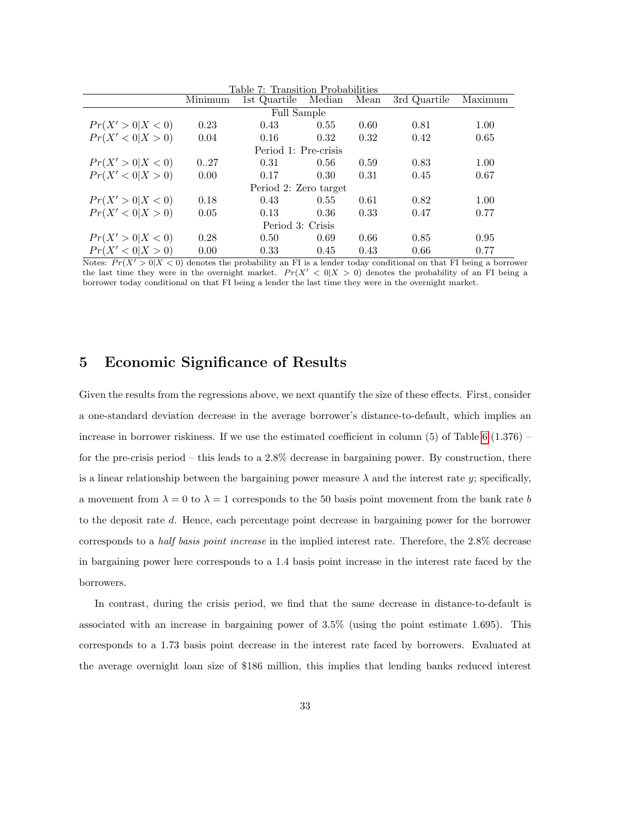| Table 7: Transition Probabilities |         |                    |        |      |              |         |  |  |  |
|-----------------------------------|---------|--------------------|--------|------|--------------|---------|--|--|--|
|                                   | Minimum | 1st Quartile       | Median | Mean | 3rd Quartile | Maximum |  |  |  |
|                                   |         | <b>Full Sample</b> |        |      |              |         |  |  |  |
| Pr(X' > 0   X < 0)                | 0.23    | 0.43               | 0.55   | 0.60 | 0.81         | 1.00    |  |  |  |
| Pr(X' < 0 X > 0)                  | 0.04    | 0.16               | 0.32   | 0.32 | 0.42         | 0.65    |  |  |  |
| Period 1: Pre-crisis              |         |                    |        |      |              |         |  |  |  |
| Pr(X' > 0   X < 0)                | 0.27    | 0.31               | 0.56   | 0.59 | 0.83         | 1.00    |  |  |  |
| Pr(X' < 0 X > 0)                  | 0.00    | 0.17               | 0.30   | 0.31 | 0.45         | 0.67    |  |  |  |
| Period 2: Zero target             |         |                    |        |      |              |         |  |  |  |
| Pr(X' > 0   X < 0)                | 0.18    | 0.43               | 0.55   | 0.61 | 0.82         | 1.00    |  |  |  |
| Pr(X' < 0 X > 0)                  | 0.05    | 0.13               | 0.36   | 0.33 | 0.47         | 0.77    |  |  |  |
| Period 3: Crisis                  |         |                    |        |      |              |         |  |  |  |
| Pr(X' > 0   X < 0)                | 0.28    | 0.50               | 0.69   | 0.66 | 0.85         | 0.95    |  |  |  |
| Pr(X' < 0 X > 0)                  | 0.00    | 0.33               | 0.45   | 0.43 | 0.66         | 0.77    |  |  |  |

Notes:  $Pr(X' > 0 | X < 0)$  denotes the probability an FI is a lender today conditional on that FI being a borrower the last time they were in the overnight market.  $Pr(X' < 0|X > 0)$  denotes the probability of an FI being a borrower today conditional on that FI being a lender the last time they were in the overnight market.

# <span id="page-33-0"></span>5 Economic Significance of Results

Given the results from the regressions above, we next quantify the size of these effects. First, consider a one-standard deviation decrease in the average borrower's distance-to-default, which implies an increase in borrower riskiness. If we use the estimated coefficient in column  $(5)$  of Table [6](#page-32-0)  $(1.376)$  – for the pre-crisis period – this leads to a 2.8% decrease in bargaining power. By construction, there is a linear relationship between the bargaining power measure  $\lambda$  and the interest rate y; specifically, a movement from  $\lambda = 0$  to  $\lambda = 1$  corresponds to the 50 basis point movement from the bank rate b to the deposit rate d. Hence, each percentage point decrease in bargaining power for the borrower corresponds to a half basis point increase in the implied interest rate. Therefore, the 2.8% decrease in bargaining power here corresponds to a 1.4 basis point increase in the interest rate faced by the borrowers.

In contrast, during the crisis period, we find that the same decrease in distance-to-default is associated with an increase in bargaining power of 3.5% (using the point estimate 1.695). This corresponds to a 1.73 basis point decrease in the interest rate faced by borrowers. Evaluated at the average overnight loan size of \$186 million, this implies that lending banks reduced interest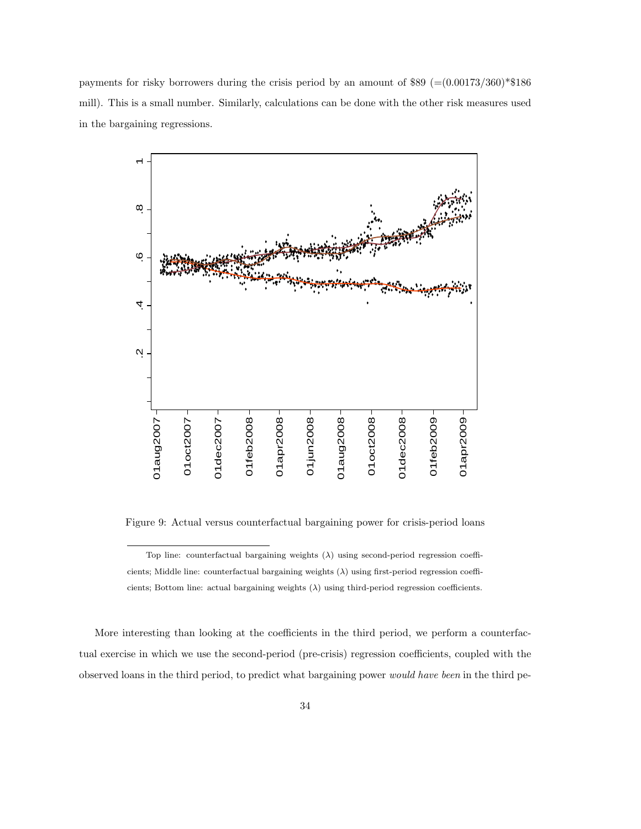payments for risky borrowers during the crisis period by an amount of \$89  $=(-10.00173/360)*186$ mill). This is a small number. Similarly, calculations can be done with the other risk measures used in the bargaining regressions.



<span id="page-34-1"></span>Figure 9: Actual versus counterfactual bargaining power for crisis-period loans

More interesting than looking at the coefficients in the third period, we perform a counterfactual exercise in which we use the second-period (pre-crisis) regression coefficients, coupled with the observed loans in the third period, to predict what bargaining power would have been in the third pe-

<span id="page-34-0"></span>Top line: counterfactual bargaining weights  $(\lambda)$  using second-period regression coefficients; Middle line: counterfactual bargaining weights  $(\lambda)$  using first-period regression coefficients; Bottom line: actual bargaining weights  $(\lambda)$  using third-period regression coefficients.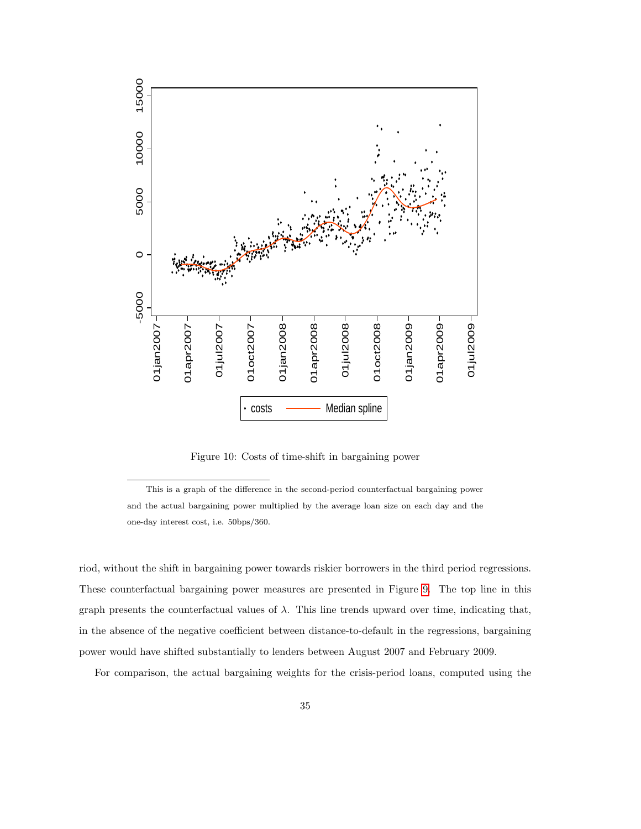

<span id="page-35-0"></span>Figure 10: Costs of time-shift in bargaining power

This is a graph of the difference in the second-period counterfactual bargaining power and the actual bargaining power multiplied by the average loan size on each day and the one-day interest cost, i.e. 50bps/360.

riod, without the shift in bargaining power towards riskier borrowers in the third period regressions. These counterfactual bargaining power measures are presented in Figure [9.](#page-34-1) The top line in this graph presents the counterfactual values of  $\lambda$ . This line trends upward over time, indicating that, in the absence of the negative coefficient between distance-to-default in the regressions, bargaining power would have shifted substantially to lenders between August 2007 and February 2009.

For comparison, the actual bargaining weights for the crisis-period loans, computed using the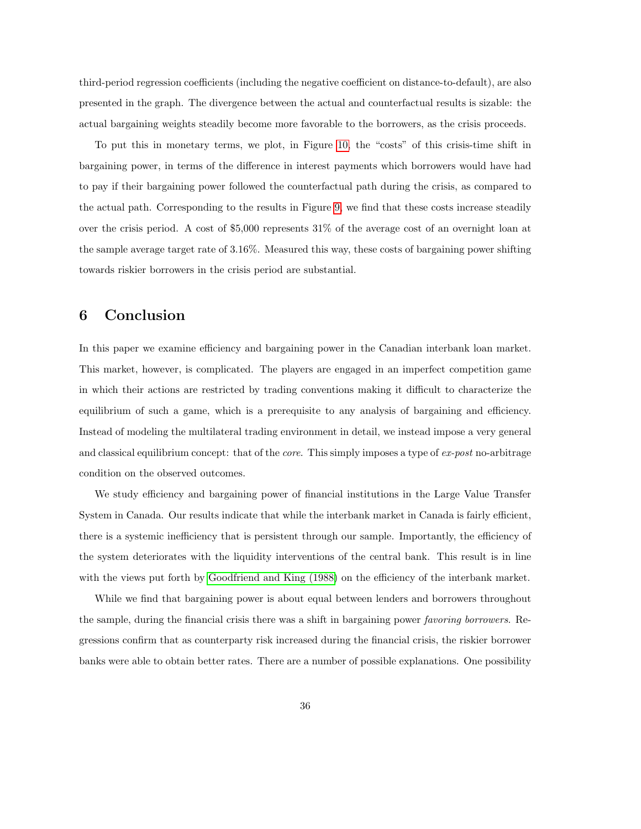third-period regression coefficients (including the negative coefficient on distance-to-default), are also presented in the graph. The divergence between the actual and counterfactual results is sizable: the actual bargaining weights steadily become more favorable to the borrowers, as the crisis proceeds.

To put this in monetary terms, we plot, in Figure [10,](#page-35-0) the "costs" of this crisis-time shift in bargaining power, in terms of the difference in interest payments which borrowers would have had to pay if their bargaining power followed the counterfactual path during the crisis, as compared to the actual path. Corresponding to the results in Figure [9,](#page-34-1) we find that these costs increase steadily over the crisis period. A cost of \$5,000 represents 31% of the average cost of an overnight loan at the sample average target rate of 3.16%. Measured this way, these costs of bargaining power shifting towards riskier borrowers in the crisis period are substantial.

# <span id="page-36-0"></span>6 Conclusion

In this paper we examine efficiency and bargaining power in the Canadian interbank loan market. This market, however, is complicated. The players are engaged in an imperfect competition game in which their actions are restricted by trading conventions making it difficult to characterize the equilibrium of such a game, which is a prerequisite to any analysis of bargaining and efficiency. Instead of modeling the multilateral trading environment in detail, we instead impose a very general and classical equilibrium concept: that of the *core*. This simply imposes a type of *ex-post* no-arbitrage condition on the observed outcomes.

We study efficiency and bargaining power of financial institutions in the Large Value Transfer System in Canada. Our results indicate that while the interbank market in Canada is fairly efficient, there is a systemic inefficiency that is persistent through our sample. Importantly, the efficiency of the system deteriorates with the liquidity interventions of the central bank. This result is in line with the views put forth by [Goodfriend and King \(1988\)](#page-39-11) on the efficiency of the interbank market.

While we find that bargaining power is about equal between lenders and borrowers throughout the sample, during the financial crisis there was a shift in bargaining power favoring borrowers. Regressions confirm that as counterparty risk increased during the financial crisis, the riskier borrower banks were able to obtain better rates. There are a number of possible explanations. One possibility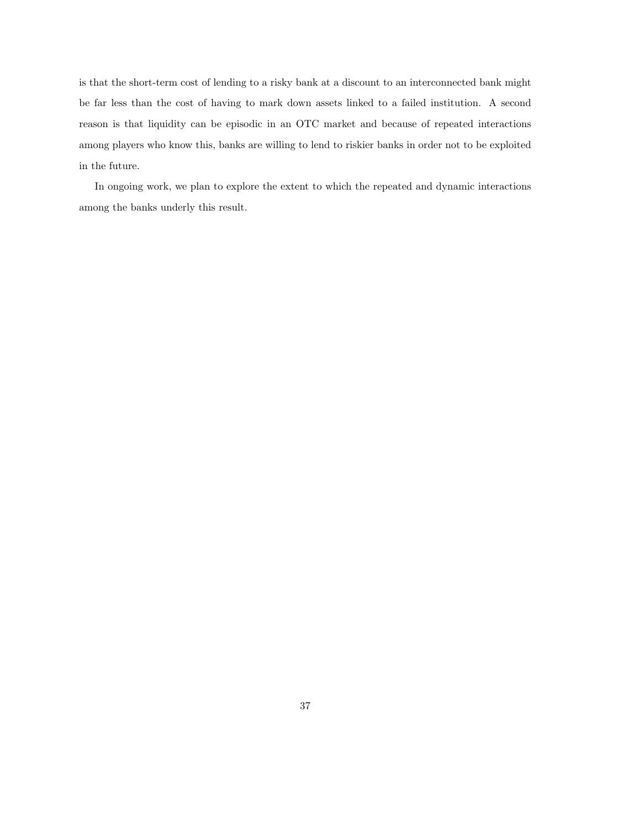is that the short-term cost of lending to a risky bank at a discount to an interconnected bank might be far less than the cost of having to mark down assets linked to a failed institution. A second reason is that liquidity can be episodic in an OTC market and because of repeated interactions among players who know this, banks are willing to lend to riskier banks in order not to be exploited in the future.

In ongoing work, we plan to explore the extent to which the repeated and dynamic interactions among the banks underly this result.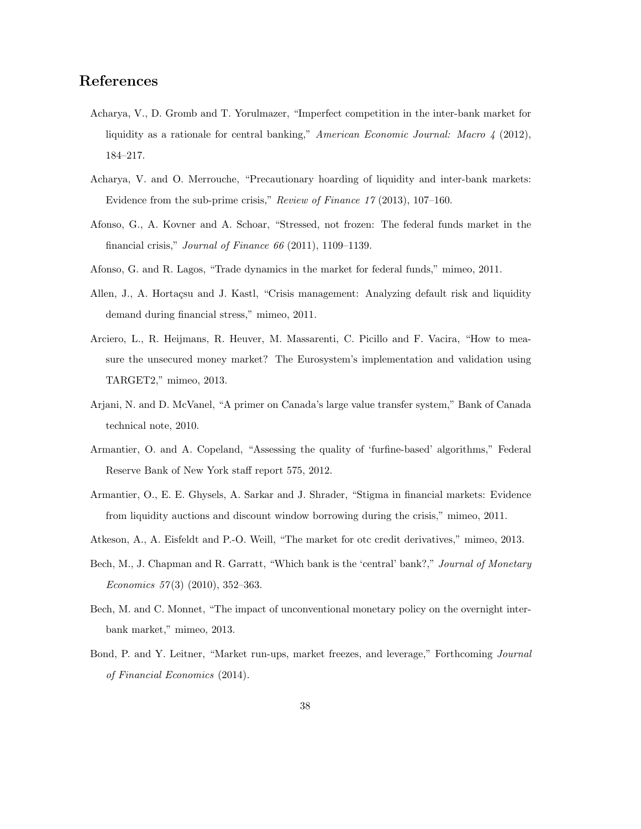# References

- <span id="page-38-4"></span>Acharya, V., D. Gromb and T. Yorulmazer, "Imperfect competition in the inter-bank market for liquidity as a rationale for central banking," American Economic Journal: Macro 4 (2012), 184–217.
- <span id="page-38-8"></span>Acharya, V. and O. Merrouche, "Precautionary hoarding of liquidity and inter-bank markets: Evidence from the sub-prime crisis," Review of Finance 17 (2013), 107–160.
- <span id="page-38-5"></span>Afonso, G., A. Kovner and A. Schoar, "Stressed, not frozen: The federal funds market in the financial crisis," Journal of Finance 66 (2011), 1109–1139.
- <span id="page-38-3"></span><span id="page-38-0"></span>Afonso, G. and R. Lagos, "Trade dynamics in the market for federal funds," mimeo, 2011.
- Allen, J., A. Hortaçsu and J. Kastl, "Crisis management: Analyzing default risk and liquidity demand during financial stress," mimeo, 2011.
- <span id="page-38-9"></span>Arciero, L., R. Heijmans, R. Heuver, M. Massarenti, C. Picillo and F. Vacira, "How to measure the unsecured money market? The Eurosystem's implementation and validation using TARGET2," mimeo, 2013.
- <span id="page-38-6"></span>Arjani, N. and D. McVanel, "A primer on Canada's large value transfer system," Bank of Canada technical note, 2010.
- <span id="page-38-7"></span>Armantier, O. and A. Copeland, "Assessing the quality of 'furfine-based' algorithms," Federal Reserve Bank of New York staff report 575, 2012.
- Armantier, O., E. E. Ghysels, A. Sarkar and J. Shrader, "Stigma in financial markets: Evidence from liquidity auctions and discount window borrowing during the crisis," mimeo, 2011.
- <span id="page-38-2"></span><span id="page-38-1"></span>Atkeson, A., A. Eisfeldt and P.-O. Weill, "The market for otc credit derivatives," mimeo, 2013.
- Bech, M., J. Chapman and R. Garratt, "Which bank is the 'central' bank?," Journal of Monetary Economics  $57(3)$  (2010), 352-363.
- <span id="page-38-10"></span>Bech, M. and C. Monnet, "The impact of unconventional monetary policy on the overnight interbank market," mimeo, 2013.
- Bond, P. and Y. Leitner, "Market run-ups, market freezes, and leverage," Forthcoming Journal of Financial Economics (2014).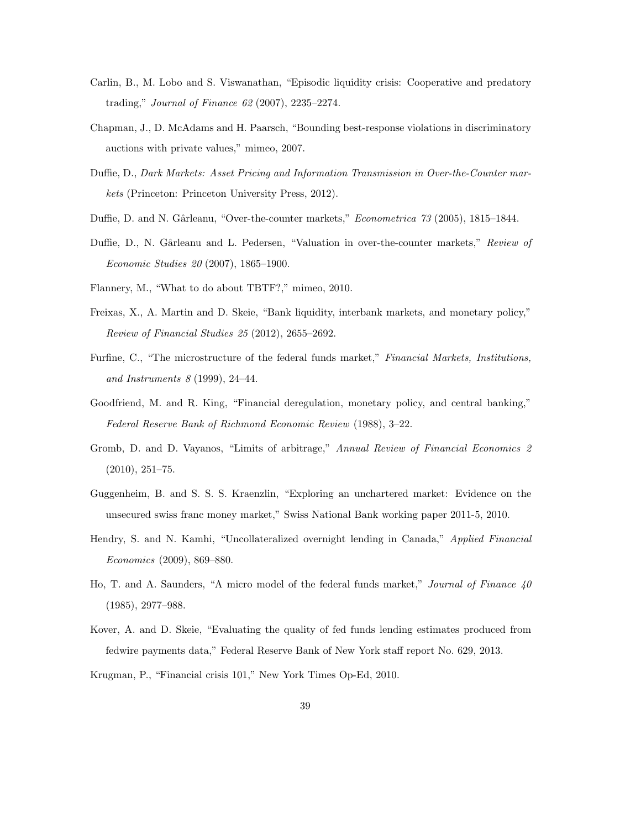- <span id="page-39-6"></span>Carlin, B., M. Lobo and S. Viswanathan, "Episodic liquidity crisis: Cooperative and predatory trading," Journal of Finance 62 (2007), 2235–2274.
- <span id="page-39-3"></span>Chapman, J., D. McAdams and H. Paarsch, "Bounding best-response violations in discriminatory auctions with private values," mimeo, 2007.
- <span id="page-39-5"></span>Duffie, D., Dark Markets: Asset Pricing and Information Transmission in Over-the-Counter markets (Princeton: Princeton University Press, 2012).
- <span id="page-39-2"></span><span id="page-39-1"></span>Duffie, D. and N. Gârleanu, "Over-the-counter markets," *Econometrica 73* (2005), 1815–1844.
- Duffie, D., N. Gârleanu and L. Pedersen, "Valuation in over-the-counter markets," Review of Economic Studies 20 (2007), 1865–1900.
- <span id="page-39-12"></span><span id="page-39-7"></span>Flannery, M., "What to do about TBTF?," mimeo, 2010.
- Freixas, X., A. Martin and D. Skeie, "Bank liquidity, interbank markets, and monetary policy," Review of Financial Studies 25 (2012), 2655–2692.
- Furfine, C., "The microstructure of the federal funds market," Financial Markets, Institutions, and Instruments 8 (1999), 24–44.
- <span id="page-39-11"></span>Goodfriend, M. and R. King, "Financial deregulation, monetary policy, and central banking," Federal Reserve Bank of Richmond Economic Review (1988), 3–22.
- Gromb, D. and D. Vayanos, "Limits of arbitrage," Annual Review of Financial Economics 2 (2010), 251–75.
- <span id="page-39-10"></span>Guggenheim, B. and S. S. S. Kraenzlin, "Exploring an unchartered market: Evidence on the unsecured swiss franc money market," Swiss National Bank working paper 2011-5, 2010.
- <span id="page-39-4"></span>Hendry, S. and N. Kamhi, "Uncollateralized overnight lending in Canada," Applied Financial Economics (2009), 869–880.
- <span id="page-39-0"></span>Ho, T. and A. Saunders, "A micro model of the federal funds market," Journal of Finance 40 (1985), 2977–988.
- <span id="page-39-9"></span>Kover, A. and D. Skeie, "Evaluating the quality of fed funds lending estimates produced from fedwire payments data," Federal Reserve Bank of New York staff report No. 629, 2013.
- <span id="page-39-8"></span>Krugman, P., "Financial crisis 101," New York Times Op-Ed, 2010.